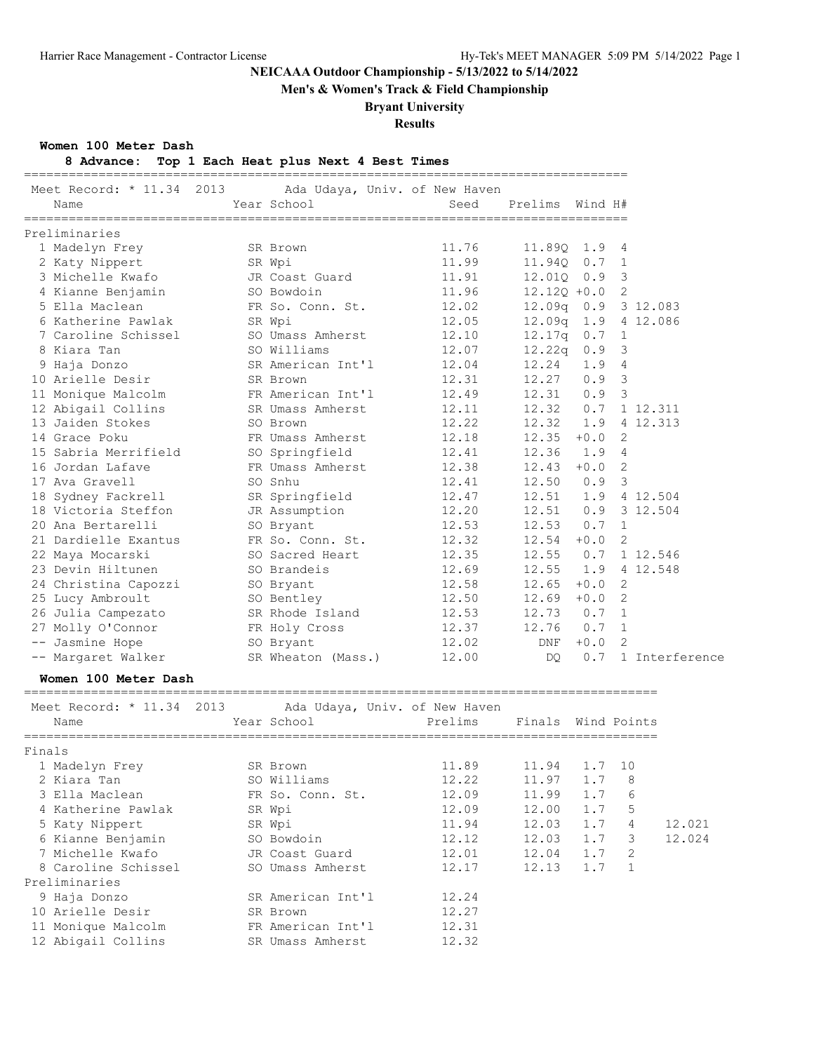**Men's & Women's Track & Field Championship**

## **Bryant University**

**Results**

**Women 100 Meter Dash**

Preliminaries

| 8 Advance: Top 1 Each Heat plus Next 4 Best Times |  |  |  |  |  |  |  |  |  |
|---------------------------------------------------|--|--|--|--|--|--|--|--|--|
|---------------------------------------------------|--|--|--|--|--|--|--|--|--|

 9 Haja Donzo SR American Int'l 12.24 10 Arielle Desir SR Brown 12.27 11 Monique Malcolm FR American Int'l 12.31 12 Abigail Collins SR Umass Amherst 12.32

| Meet Record: * 11.34 2013<br>Name | Year School        | Ada Udaya, Univ. of New Haven<br>Seed | Prelims Wind H# |        |                |                |
|-----------------------------------|--------------------|---------------------------------------|-----------------|--------|----------------|----------------|
|                                   |                    |                                       |                 |        |                |                |
| Preliminaries                     |                    |                                       |                 |        |                |                |
| 1 Madelyn Frey                    | SR Brown           | 11.76                                 | 11.89Q 1.9      |        | 4              |                |
| 2 Katy Nippert                    | SR Wpi             | 11.99                                 | 11.940          | 0.7    | 1              |                |
| 3 Michelle Kwafo                  | JR Coast Guard     | 11.91                                 | 12.01Q          | 0.9    | 3              |                |
| 4 Kianne Benjamin                 | SO Bowdoin         | 11.96                                 | $12.12Q + 0.0$  |        | 2              |                |
| 5 Ella Maclean                    | FR So. Conn. St.   | 12.02                                 | 12.09q          | 0.9    | 3 12.083       |                |
| 6 Katherine Pawlak                | SR Wpi             | 12.05                                 | 12.09q 1.9      |        | 4 12.086       |                |
| 7 Caroline Schissel               | SO Umass Amherst   | 12.10                                 | 12.17q          | 0.7    | $\mathbf{1}$   |                |
| 8 Kiara Tan                       | SO Williams        | 12.07                                 | 12.22q          | 0.9    | 3              |                |
| 9 Haja Donzo                      | SR American Int'l  | 12.04                                 | 12.24           | 1.9    | $\overline{4}$ |                |
| 10 Arielle Desir                  | SR Brown           | 12.31                                 | 12.27           | 0.9    | 3              |                |
| 11 Monique Malcolm                | FR American Int'l  | 12.49                                 | 12.31           | 0.9    | 3              |                |
| 12 Abigail Collins                | SR Umass Amherst   | 12.11                                 | 12.32           | 0.7    | 1 12.311       |                |
| 13 Jaiden Stokes                  | SO Brown           | 12.22                                 | 12.32           | 1.9    | 4 12.313       |                |
| 14 Grace Poku                     | FR Umass Amherst   | 12.18                                 | $12.35 + 0.0$   |        | 2              |                |
| 15 Sabria Merrifield              | SO Springfield     | 12.41                                 | $12.36$ $1.9$   |        | 4              |                |
| 16 Jordan Lafave                  | FR Umass Amherst   | 12.38                                 | 12.43           | $+0.0$ | 2              |                |
| 17 Ava Gravell                    | SO Snhu            | 12.41                                 | 12.50           | 0.9    | -3             |                |
| 18 Sydney Fackrell                | SR Springfield     | 12.47                                 | 12.51           |        | 1.9 4 12.504   |                |
| 18 Victoria Steffon               | JR Assumption      | 12.20                                 | 12.51           | 0.9    | 3 12.504       |                |
| 20 Ana Bertarelli                 | SO Bryant          | 12.53                                 | 12.53           | 0.7    | $\mathbf{1}$   |                |
| 21 Dardielle Exantus              | FR So. Conn. St.   | 12.32                                 | 12.54           | $+0.0$ | 2              |                |
| 22 Maya Mocarski                  | SO Sacred Heart    | 12.35                                 | 12.55           | 0.7    | 1 12.546       |                |
| 23 Devin Hiltunen                 | SO Brandeis        | 12.69                                 | 12.55           | 1.9    | 4 12.548       |                |
| 24 Christina Capozzi              | SO Bryant          | 12.58                                 | $12.65 + 0.0$   |        | 2              |                |
| 25 Lucy Ambroult                  | SO Bentley         | 12.50                                 | $12.69 + 0.0$   |        | 2              |                |
| 26 Julia Campezato                | SR Rhode Island    | 12.53                                 | 12.73           | 0.7    | 1              |                |
| 27 Molly O'Connor                 | FR Holy Cross      | 12.37                                 | 12.76           | 0.7    | $\mathbf{1}$   |                |
| -- Jasmine Hope                   | SO Bryant          | 12.02                                 | DNF             | $+0.0$ | 2              |                |
| -- Margaret Walker                | SR Wheaton (Mass.) | 12.00                                 | DQ.             | 0.7    |                | 1 Interference |
| Women 100 Meter Dash              |                    |                                       |                 |        |                |                |
| Meet Record: * 11.34 2013         |                    | Ada Udaya, Univ. of New Haven         |                 |        |                |                |
| Name                              | Year School        | Prelims                               | Finals          |        | Wind Points    |                |
| Finals                            |                    |                                       |                 |        |                |                |
| 1 Madelyn Frey                    | SR Brown           | 11.89                                 | 11.94  1.7  10  |        |                |                |
| 2 Kiara Tan                       | SO Williams        | 12.22                                 | 11.97           | 1.7    | 8              |                |
| 3 Ella Maclean                    | FR So. Conn. St.   | 12.09                                 | 11.99           | 1.7    | 6              |                |
| 4 Katherine Pawlak                | SR Wpi             | 12.09                                 | 12.00           | 1.7    | 5              |                |
| 5 Katy Nippert                    | SR Wpi             | 11.94                                 | 12.03           | 1.7    | 4              | 12.021         |
| 6 Kianne Benjamin                 | SO Bowdoin         | 12.12                                 | 12.03           | 1.7    | 3              | 12.024         |
| 7 Michelle Kwafo                  | JR Coast Guard     | 12.01                                 | 12.04           | 1.7    | 2              |                |
| 8 Caroline Schissel               | SO Umass Amherst   | 12.17                                 | 12.13           | 1.7    | $\mathbf{1}$   |                |
|                                   |                    |                                       |                 |        |                |                |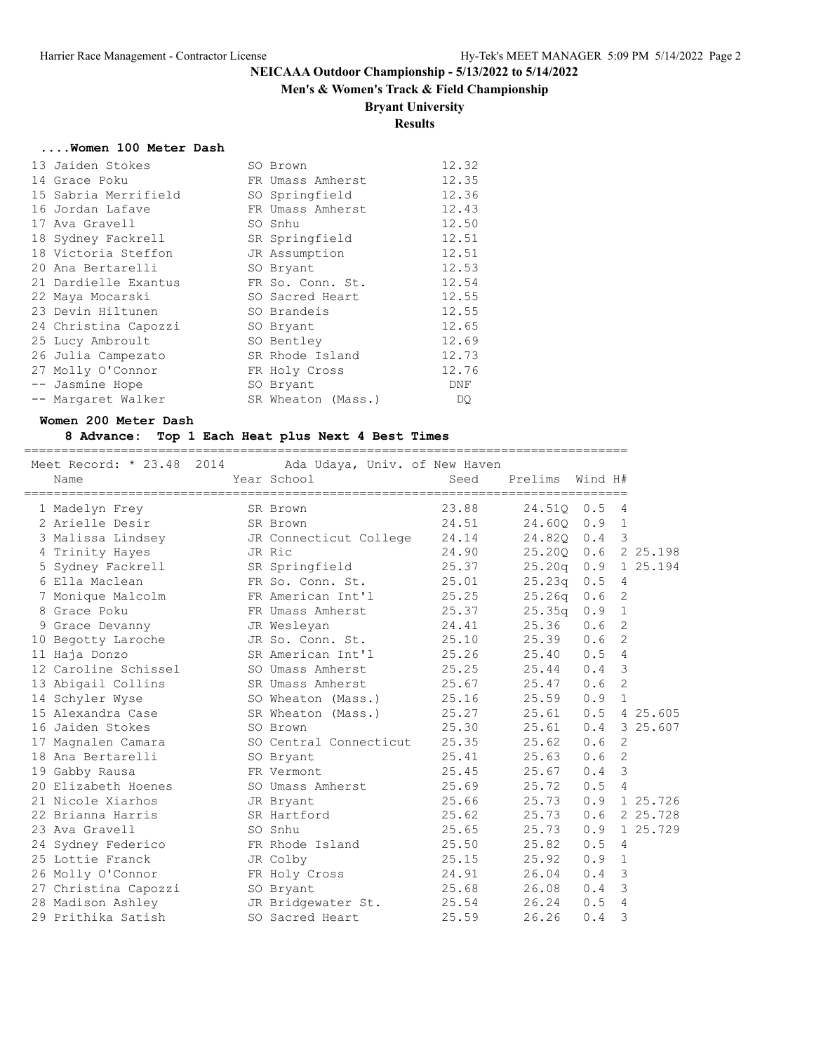## **Men's & Women's Track & Field Championship**

## **Bryant University**

## **Results**

#### **....Women 100 Meter Dash**

| 13 Jaiden Stokes     | SO Brown           | 12.32 |
|----------------------|--------------------|-------|
| 14 Grace Poku        | FR Umass Amherst   | 12.35 |
| 15 Sabria Merrifield | SO Springfield     | 12.36 |
| 16 Jordan Lafave     | FR Umass Amherst   | 12.43 |
| 17 Ava Gravell       | SO Snhu            | 12.50 |
| 18 Sydney Fackrell   | SR Springfield     | 12.51 |
| 18 Victoria Steffon  | JR Assumption      | 12.51 |
| 20 Ana Bertarelli    | SO Bryant          | 12.53 |
| 21 Dardielle Exantus | FR So. Conn. St.   | 12.54 |
| 22 Maya Mocarski     | SO Sacred Heart    | 12.55 |
| 23 Devin Hiltunen    | SO Brandeis        | 12.55 |
| 24 Christina Capozzi | SO Bryant          | 12.65 |
| 25 Lucy Ambroult     | SO Bentley         | 12.69 |
| 26 Julia Campezato   | SR Rhode Island    | 12.73 |
| 27 Molly O'Connor    | FR Holy Cross      | 12.76 |
| -- Jasmine Hope      | SO Bryant          | DNF   |
| -- Margaret Walker   | SR Wheaton (Mass.) | DQ.   |

#### **Women 200 Meter Dash**

### **8 Advance: Top 1 Each Heat plus Next 4 Best Times**

================================================================================= Meet Record: \* 23.48 2014 Ada Udaya, Univ. of New Haven

|    | Name                 | Year School            | Seed  | Prelims            | Wind H# |                |          |
|----|----------------------|------------------------|-------|--------------------|---------|----------------|----------|
|    | 1 Madelyn Frey       | SR Brown               | 23.88 | 24.510             | 0.5     | 4              |          |
|    | 2 Arielle Desir      | SR Brown               | 24.51 | 24.600             | 0.9     | $\mathbf{1}$   |          |
|    | 3 Malissa Lindsey    | JR Connecticut College | 24.14 | 24.820 0.4         |         | 3              |          |
|    | 4 Trinity Hayes      | JR Ric                 | 24.90 | 25.200             | 0.6     |                | 2 25.198 |
|    | 5 Sydney Fackrell    | SR Springfield         | 25.37 | 25.20q             | 0.9     |                | 1 25.194 |
|    | 6 Ella Maclean       | FR So. Conn. St.       | 25.01 | 25.23q             | 0.5     | 4              |          |
|    | 7 Monique Malcolm    | FR American Int'l      | 25.25 | 25.26 <sub>q</sub> | 0.6     | 2              |          |
|    | 8 Grace Poku         | FR Umass Amherst       | 25.37 | 25.35q             | 0.9     | $\mathbf{1}$   |          |
|    | 9 Grace Devanny      | JR Wesleyan            | 24.41 | 25.36              | 0.6     | 2              |          |
|    | 10 Begotty Laroche   | JR So. Conn. St.       | 25.10 | 25.39              | 0.6     | 2              |          |
|    | 11 Haja Donzo        | SR American Int'l      | 25.26 | 25.40              | 0.5     | 4              |          |
|    | 12 Caroline Schissel | SO Umass Amherst       | 25.25 | 25.44              | 0.4     | 3              |          |
|    | 13 Abigail Collins   | SR Umass Amherst       | 25.67 | 25.47              | 0.6     | 2              |          |
|    | 14 Schyler Wyse      | SO Wheaton (Mass.)     | 25.16 | 25.59              | 0.9     | $\mathbf{1}$   |          |
|    | 15 Alexandra Case    | SR Wheaton (Mass.)     | 25.27 | 25.61              | 0.5     |                | 4 25.605 |
|    | 16 Jaiden Stokes     | SO Brown               | 25.30 | 25.61              | 0.4     |                | 3 25.607 |
| 17 | Magnalen Camara      | SO Central Connecticut | 25.35 | 25.62              | 0.6     | 2              |          |
|    | 18 Ana Bertarelli    | SO Bryant              | 25.41 | 25.63              | 0.6     | 2              |          |
|    | 19 Gabby Rausa       | FR Vermont             | 25.45 | 25.67              | 0.4     | 3              |          |
|    | 20 Elizabeth Hoenes  | SO Umass Amherst       | 25.69 | 25.72              | 0.5     | $\overline{4}$ |          |
|    | 21 Nicole Xiarhos    | JR Bryant              | 25.66 | 25.73              | 0.9     |                | 1 25.726 |
|    | 22 Brianna Harris    | SR Hartford            | 25.62 | 25.73              | 0.6     |                | 2 25.728 |
|    | 23 Ava Gravell       | SO Snhu                | 25.65 | 25.73              | 0.9     |                | 1 25.729 |
|    | 24 Sydney Federico   | FR Rhode Island        | 25.50 | 25.82              | 0.5     | 4              |          |
|    | 25 Lottie Franck     | JR Colby               | 25.15 | 25.92              | 0.9     | $\mathbf{1}$   |          |
|    | 26 Molly O'Connor    | FR Holy Cross          | 24.91 | 26.04              | 0.4     | 3              |          |
|    | 27 Christina Capozzi | SO Bryant              | 25.68 | 26.08              | 0.4     | 3              |          |
|    | 28 Madison Ashley    | JR Bridgewater St.     | 25.54 | 26.24              | 0.5     | 4              |          |
|    | 29 Prithika Satish   | SO Sacred Heart        | 25.59 | 26.26              | 0.4     | 3              |          |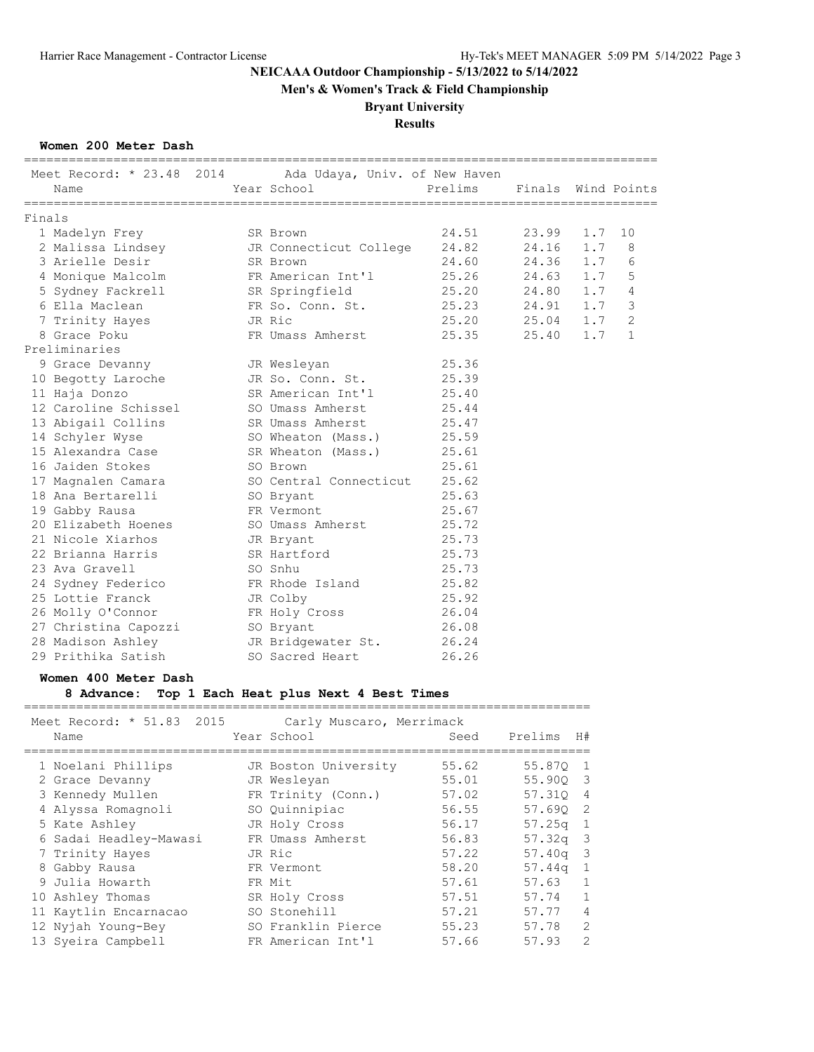**Men's & Women's Track & Field Championship**

## **Bryant University**

# **Results**

### **Women 200 Meter Dash**

|                                    |           | =============                           | ==================== |                    |     |                |
|------------------------------------|-----------|-----------------------------------------|----------------------|--------------------|-----|----------------|
| Meet Record: * 23.48 2014          |           | Ada Udaya, Univ. of New Haven           |                      |                    |     |                |
| Name                               |           | Year School                             | Prelims              | Finals Wind Points |     |                |
| Finals                             |           |                                         |                      |                    |     |                |
| 1 Madelyn Frey                     |           | SR Brown                                | 24.51                | 23.99              | 1.7 | 10             |
| 2 Malissa Lindsey                  |           | JR Connecticut College                  | 24.82                | 24.16              | 1.7 | 8              |
| 3 Arielle Desir                    |           | SR Brown                                | 24.60                | 24.36              | 1.7 | 6              |
| 4 Monique Malcolm                  |           | FR American Int'l                       | 25.26                | 24.63              | 1.7 | 5              |
| 5 Sydney Fackrell                  |           | SR Springfield                          | 25.20                | 24.80              | 1.7 | 4              |
| 6 Ella Maclean                     |           | FR So. Conn. St.                        | 25.23                | 24.91              | 1.7 | 3              |
| 7 Trinity Hayes                    |           | JR Ric                                  | 25.20                | 25.04              | 1.7 | $\overline{2}$ |
| 8 Grace Poku                       |           | FR Umass Amherst                        | 25.35                | 25.40              | 1.7 | 1              |
| Preliminaries                      |           |                                         |                      |                    |     |                |
| 9 Grace Devanny                    |           | JR Wesleyan                             | 25.36                |                    |     |                |
| 10 Begotty Laroche                 |           | JR So. Conn. St.                        | 25.39                |                    |     |                |
| 11 Haja Donzo                      |           | SR American Int'l                       | 25.40                |                    |     |                |
| 12 Caroline Schissel               |           | SO Umass Amherst                        | 25.44                |                    |     |                |
| 13 Abigail Collins                 |           | SR Umass Amherst                        | 25.47                |                    |     |                |
| 14 Schyler Wyse                    |           | SO Wheaton (Mass.)                      | 25.59                |                    |     |                |
| 15 Alexandra Case                  |           | SR Wheaton (Mass.)                      | 25.61                |                    |     |                |
| 16 Jaiden Stokes                   |           | SO Brown                                | 25.61                |                    |     |                |
| 17 Magnalen Camara                 |           | SO Central Connecticut                  | 25.62                |                    |     |                |
| 18 Ana Bertarelli                  |           | SO Bryant                               | 25.63                |                    |     |                |
| 19 Gabby Rausa                     |           | FR Vermont                              | 25.67                |                    |     |                |
| 20 Elizabeth Hoenes                |           | SO Umass Amherst                        | 25.72                |                    |     |                |
| 21 Nicole Xiarhos                  |           | JR Bryant                               | 25.73                |                    |     |                |
| 22 Brianna Harris                  |           | SR Hartford                             | 25.73                |                    |     |                |
| 23 Ava Gravell                     |           | SO Snhu                                 | 25.73                |                    |     |                |
| 24 Sydney Federico                 |           | FR Rhode Island                         | 25.82                |                    |     |                |
| 25 Lottie Franck                   |           | JR Colby                                | 25.92                |                    |     |                |
| 26 Molly O'Connor                  |           | FR Holy Cross                           | 26.04                |                    |     |                |
| 27 Christina Capozzi               | SO Bryant |                                         | 26.08                |                    |     |                |
| 28 Madison Ashley                  |           | JR Bridgewater St.                      | 26.24                |                    |     |                |
| 29 Prithika Satish                 |           | SO Sacred Heart                         | 26.26                |                    |     |                |
| Women 400 Meter Dash<br>8 Advance: |           | Top 1 Each Heat plus Next 4 Best Times  |                      |                    |     |                |
|                                    |           |                                         |                      |                    |     |                |
| Meet Record: * 51.83 2015<br>Name  |           | Carly Muscaro, Merrimack<br>Year School | Seed                 | Prelims            | H#  |                |
|                                    |           |                                         |                      |                    |     |                |

|  | 1 Noelani Phillips     | JR Boston University | 55.62 | 55.870 1   |                |
|--|------------------------|----------------------|-------|------------|----------------|
|  | 2 Grace Devanny        | JR Wesleyan          | 55.01 | 55.900 3   |                |
|  | 3 Kennedy Mullen       | FR Trinity (Conn.)   | 57.02 | 57.310 4   |                |
|  | 4 Alyssa Romagnoli     | SO Ouinnipiac        | 56.55 | 57.690 2   |                |
|  | 5 Kate Ashley          | JR Holy Cross        | 56.17 | $57.25q$ 1 |                |
|  | 6 Sadai Headley-Mawasi | FR Umass Amherst     | 56.83 | $57.32q$ 3 |                |
|  | 7 Trinity Hayes        | JR Ric               | 57.22 | $57.40q$ 3 |                |
|  | 8 Gabby Rausa          | FR Vermont           | 58.20 | $57.44q$ 1 |                |
|  | 9 Julia Howarth        | FR Mit               | 57.61 | 57.63      | 1              |
|  | 10 Ashley Thomas       | SR Holy Cross        | 57.51 | 57.74      | $\mathbf{1}$   |
|  | 11 Kaytlin Encarnacao  | SO Stonehill         | 57.21 | 57.77      | $\overline{4}$ |
|  | 12 Nyjah Young-Bey     | SO Franklin Pierce   | 55.23 | 57.78      | $\overline{2}$ |
|  | 13 Syeira Campbell     | FR American Int'l    | 57.66 | 57.93      | $\overline{2}$ |
|  |                        |                      |       |            |                |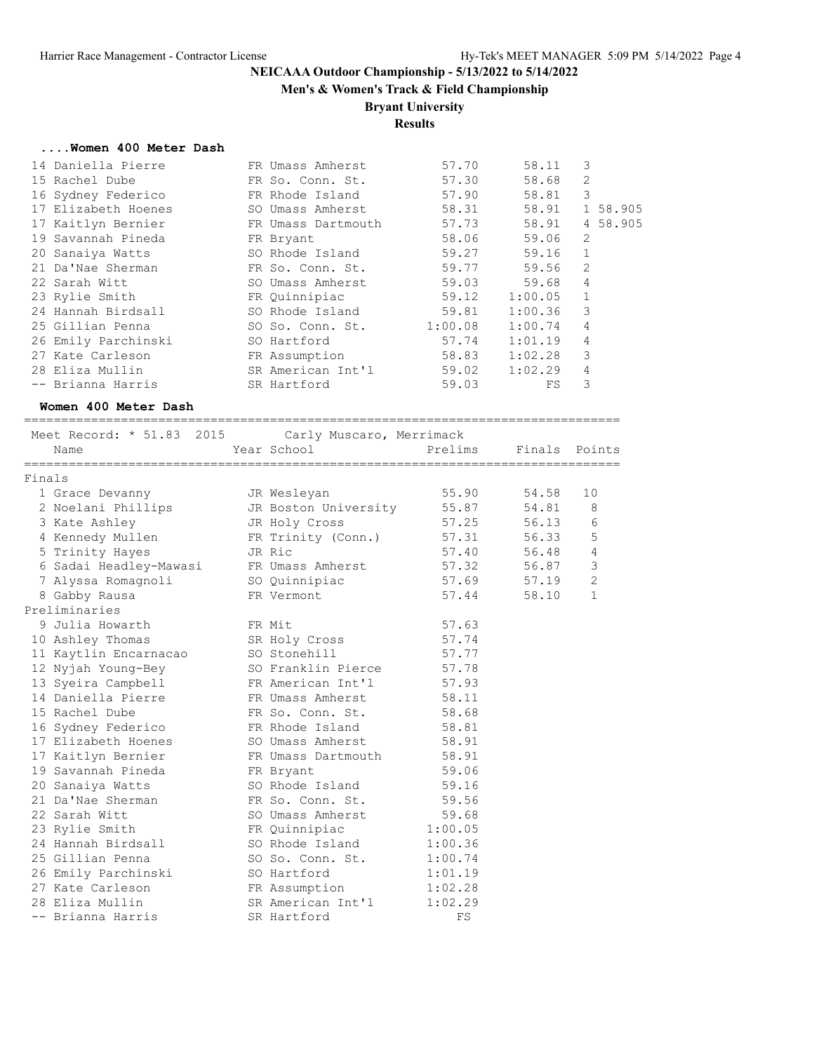**Men's & Women's Track & Field Championship**

# **Bryant University**

## **Results**

#### **....Women 400 Meter Dash**

| 14 Daniella Pierre  | FR Umass Amherst   | 57.70   | 58.11   | 3              |          |
|---------------------|--------------------|---------|---------|----------------|----------|
| 15 Rachel Dube      | FR So. Conn. St.   | 57.30   | 58.68   | 2              |          |
| 16 Sydney Federico  | FR Rhode Island    | 57.90   | 58.81   | 3              |          |
| 17 Elizabeth Hoenes | SO Umass Amherst   | 58.31   | 58.91   |                | 1 58.905 |
| 17 Kaitlyn Bernier  | FR Umass Dartmouth | 57.73   | 58.91   |                | 4 58.905 |
| 19 Savannah Pineda  | FR Bryant          | 58.06   | 59.06   | 2              |          |
| 20 Sanaiya Watts    | SO Rhode Island    | 59.27   | 59.16   | $\mathbf{1}$   |          |
| 21 Da'Nae Sherman   | FR So. Conn. St.   | 59.77   | 59.56   | 2              |          |
| 22 Sarah Witt       | SO Umass Amherst   | 59.03   | 59.68   | 4              |          |
| 23 Rylie Smith      | FR Quinnipiac      | 59.12   | 1:00.05 | $\mathbf{1}$   |          |
| 24 Hannah Birdsall  | SO Rhode Island    | 59.81   | 1:00.36 | 3              |          |
| 25 Gillian Penna    | SO So. Conn. St.   | 1:00.08 | 1:00.74 | $\overline{4}$ |          |
| 26 Emily Parchinski | SO Hartford        | 57.74   | 1:01.19 | 4              |          |
| 27 Kate Carleson    | FR Assumption      | 58.83   | 1:02.28 | 3              |          |
| 28 Eliza Mullin     | SR American Int'l  | 59.02   | 1:02.29 | 4              |          |
| -- Brianna Harris   | SR Hartford        | 59.03   | FS      | 3              |          |
|                     |                    |         |         |                |          |

#### **Women 400 Meter Dash**

================================================================================

| Meet Record: * 51.83 2015<br>Carly Muscaro, Merrimack |  |                      |             |               |                |  |
|-------------------------------------------------------|--|----------------------|-------------|---------------|----------------|--|
| Name                                                  |  | Year School          | Prelims     | Finals Points |                |  |
| Finals                                                |  |                      |             |               |                |  |
| 1 Grace Devanny                                       |  | JR Wesleyan          | 55.90       | 54.58         | 10             |  |
| 2 Noelani Phillips                                    |  | JR Boston University | 55.87       | 54.81         | 8              |  |
| 3 Kate Ashley                                         |  | JR Holy Cross        | 57.25       | 56.13         | 6              |  |
| 4 Kennedy Mullen                                      |  | FR Trinity (Conn.)   | 57.31       | 56.33         | 5              |  |
| 5 Trinity Hayes                                       |  | JR Ric               | 57.40       | 56.48         | 4              |  |
| 6 Sadai Headley-Mawasi                                |  | FR Umass Amherst     | 57.32 56.87 |               | 3              |  |
| 7 Alyssa Romagnoli                                    |  | SO Quinnipiac        | 57.69 57.19 |               | $\overline{c}$ |  |
| 8 Gabby Rausa                                         |  | FR Vermont           | 57.44       | 58.10         | $\mathbf{1}$   |  |
| Preliminaries                                         |  |                      |             |               |                |  |
| 9 Julia Howarth                                       |  | FR Mit               | 57.63       |               |                |  |
| 10 Ashley Thomas                                      |  | SR Holy Cross        | 57.74       |               |                |  |
| 11 Kaytlin Encarnacao                                 |  | SO Stonehill         | 57.77       |               |                |  |
| 12 Nyjah Young-Bey                                    |  | SO Franklin Pierce   | 57.78       |               |                |  |
| 13 Syeira Campbell                                    |  | FR American Int'l    | 57.93       |               |                |  |
| 14 Daniella Pierre                                    |  | FR Umass Amherst     | 58.11       |               |                |  |
| 15 Rachel Dube                                        |  | FR So. Conn. St.     | 58.68       |               |                |  |
| 16 Sydney Federico                                    |  | FR Rhode Island      | 58.81       |               |                |  |
| 17 Elizabeth Hoenes                                   |  | SO Umass Amherst     | 58.91       |               |                |  |
| 17 Kaitlyn Bernier                                    |  | FR Umass Dartmouth   | 58.91       |               |                |  |
| 19 Savannah Pineda                                    |  | FR Bryant            | 59.06       |               |                |  |
| 20 Sanaiya Watts                                      |  | SO Rhode Island      | 59.16       |               |                |  |
| 21 Da'Nae Sherman                                     |  | FR So. Conn. St.     | 59.56       |               |                |  |
| 22 Sarah Witt                                         |  | SO Umass Amherst     | 59.68       |               |                |  |
| 23 Rylie Smith                                        |  | FR Quinnipiac        | 1:00.05     |               |                |  |
| 24 Hannah Birdsall                                    |  | SO Rhode Island      | 1:00.36     |               |                |  |
| 25 Gillian Penna                                      |  | SO So. Conn. St.     | 1:00.74     |               |                |  |
| 26 Emily Parchinski                                   |  | SO Hartford          | 1:01.19     |               |                |  |
| 27 Kate Carleson                                      |  | FR Assumption        | 1:02.28     |               |                |  |
| 28 Eliza Mullin                                       |  | SR American Int'l    | 1:02.29     |               |                |  |
| -- Brianna Harris                                     |  | SR Hartford          | FS          |               |                |  |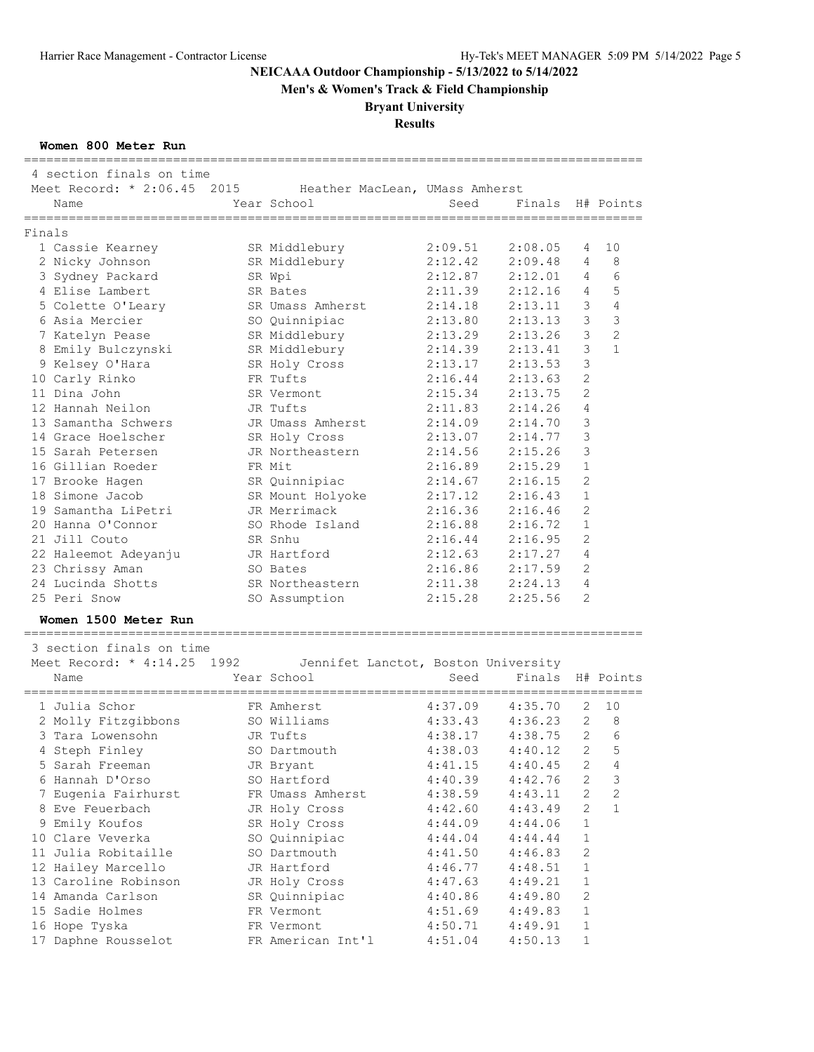**Men's & Women's Track & Field Championship**

## **Bryant University**

# **Results**

### **Women 800 Meter Run**

| =====================<br>4 section finals on time               |                  |         |         |                |                  |
|-----------------------------------------------------------------|------------------|---------|---------|----------------|------------------|
| Meet Record: * 2:06.45 2015 Heather MacLean, UMass Amherst      |                  |         |         |                |                  |
| Name                                                            | Year School      | Seed    | Finals  |                | H# Points        |
| --------------------                                            |                  |         |         |                |                  |
| Finals                                                          |                  |         |         |                |                  |
| 1 Cassie Kearney                                                | SR Middlebury    | 2:09.51 | 2:08.05 | 4              | 10               |
| 2 Nicky Johnson                                                 | SR Middlebury    | 2:12.42 | 2:09.48 | 4              | 8                |
| 3 Sydney Packard                                                | SR Wpi           | 2:12.87 | 2:12.01 | 4              | 6                |
| 4 Elise Lambert                                                 | SR Bates         | 2:11.39 | 2:12.16 | 4              | 5                |
| 5 Colette O'Leary                                               | SR Umass Amherst | 2:14.18 | 2:13.11 | $\mathcal{S}$  | $\overline{4}$   |
| 6 Asia Mercier                                                  | SO Quinnipiac    | 2:13.80 | 2:13.13 | 3              | $\mathcal{S}$    |
| 7 Katelyn Pease                                                 | SR Middlebury    | 2:13.29 | 2:13.26 | 3              | $\overline{c}$   |
| 8 Emily Bulczynski                                              | SR Middlebury    | 2:14.39 | 2:13.41 | 3              | $\mathbf{1}$     |
| 9 Kelsey O'Hara                                                 | SR Holy Cross    | 2:13.17 | 2:13.53 | 3              |                  |
| 10 Carly Rinko                                                  | FR Tufts         | 2:16.44 | 2:13.63 | $\overline{c}$ |                  |
| 11 Dina John                                                    | SR Vermont       | 2:15.34 | 2:13.75 | $\overline{2}$ |                  |
| 12 Hannah Neilon                                                | JR Tufts         | 2:11.83 | 2:14.26 | 4              |                  |
| 13 Samantha Schwers                                             | JR Umass Amherst | 2:14.09 | 2:14.70 | 3              |                  |
| 14 Grace Hoelscher                                              | SR Holy Cross    | 2:13.07 | 2:14.77 | 3              |                  |
| 15 Sarah Petersen                                               | JR Northeastern  | 2:14.56 | 2:15.26 | 3              |                  |
| 16 Gillian Roeder                                               | FR Mit           | 2:16.89 | 2:15.29 | 1              |                  |
| 17 Brooke Hagen                                                 | SR Quinnipiac    | 2:14.67 | 2:16.15 | 2              |                  |
| 18 Simone Jacob                                                 | SR Mount Holyoke | 2:17.12 | 2:16.43 | 1              |                  |
| 19 Samantha LiPetri                                             | JR Merrimack     | 2:16.36 | 2:16.46 | 2              |                  |
| 20 Hanna O'Connor                                               | SO Rhode Island  | 2:16.88 | 2:16.72 | 1              |                  |
| 21 Jill Couto                                                   | SR Snhu          | 2:16.44 | 2:16.95 | 2              |                  |
| 22 Haleemot Adeyanju                                            | JR Hartford      | 2:12.63 | 2:17.27 | 4              |                  |
| 23 Chrissy Aman                                                 | SO Bates         | 2:16.86 | 2:17.59 | 2              |                  |
| 24 Lucinda Shotts                                               | SR Northeastern  | 2:11.38 | 2:24.13 | 4              |                  |
| 25 Peri Snow                                                    | SO Assumption    | 2:15.28 | 2:25.56 | 2              |                  |
| Women 1500 Meter Run<br>================================        |                  |         |         |                |                  |
| 3 section finals on time                                        |                  |         |         |                |                  |
| Meet Record: * 4:14.25 1992 Jennifet Lanctot, Boston University |                  |         |         |                |                  |
| Name                                                            | Year School      | Seed    | Finals  |                | H# Points        |
| 1 Julia Schor                                                   | FR Amherst       | 4:37.09 | 4:35.70 | 2              | 10               |
| 2 Molly Fitzgibbons                                             | SO Williams      | 4:33.43 | 4:36.23 | 2              | 8                |
| 3 Tara Lowensohn                                                | JR Tufts         | 4:38.17 | 4:38.75 | $\overline{2}$ | 6                |
| 4 Steph Finley                                                  | SO Dartmouth     | 4:38.03 | 4:40.12 |                | 5<br>$2^{\circ}$ |
| 5 Sarah Freeman                                                 | JR Bryant        | 4:41.15 | 4:40.45 | 2              | 4                |
| 6 Hannah D'Orso                                                 | SO Hartford      | 4:40.39 | 4:42.76 | 2              | 3                |
| 7 Eugenia Fairhurst                                             | FR Umass Amherst | 4:38.59 | 4:43.11 | 2              | 2                |
| 8 Eve Feuerbach                                                 | JR Holy Cross    | 4:42.60 | 4:43.49 | 2              | $\mathbf{1}$     |
|                                                                 |                  |         |         |                |                  |
| 9 Emily Koufos                                                  | SR Holy Cross    | 4:44.09 | 4:44.06 | 1              |                  |
| 10 Clare Veverka<br>11 Julia Robitaille                         | SO Quinnipiac    | 4:44.04 | 4:44.44 | 1              |                  |
|                                                                 | SO Dartmouth     | 4:41.50 | 4:46.83 | 2              |                  |
| 12 Hailey Marcello                                              | JR Hartford      | 4:46.77 | 4:48.51 | 1              |                  |

 13 Caroline Robinson JR Holy Cross 4:47.63 4:49.21 1 14 Amanda Carlson SR Quinnipiac 4:40.86 4:49.80 2 15 Sadie Holmes FR Vermont 4:51.69 4:49.83 1 16 Hope Tyska FR Vermont 4:50.71 4:49.91 1 17 Daphne Rousselot FR American Int'l 4:51.04 4:50.13 1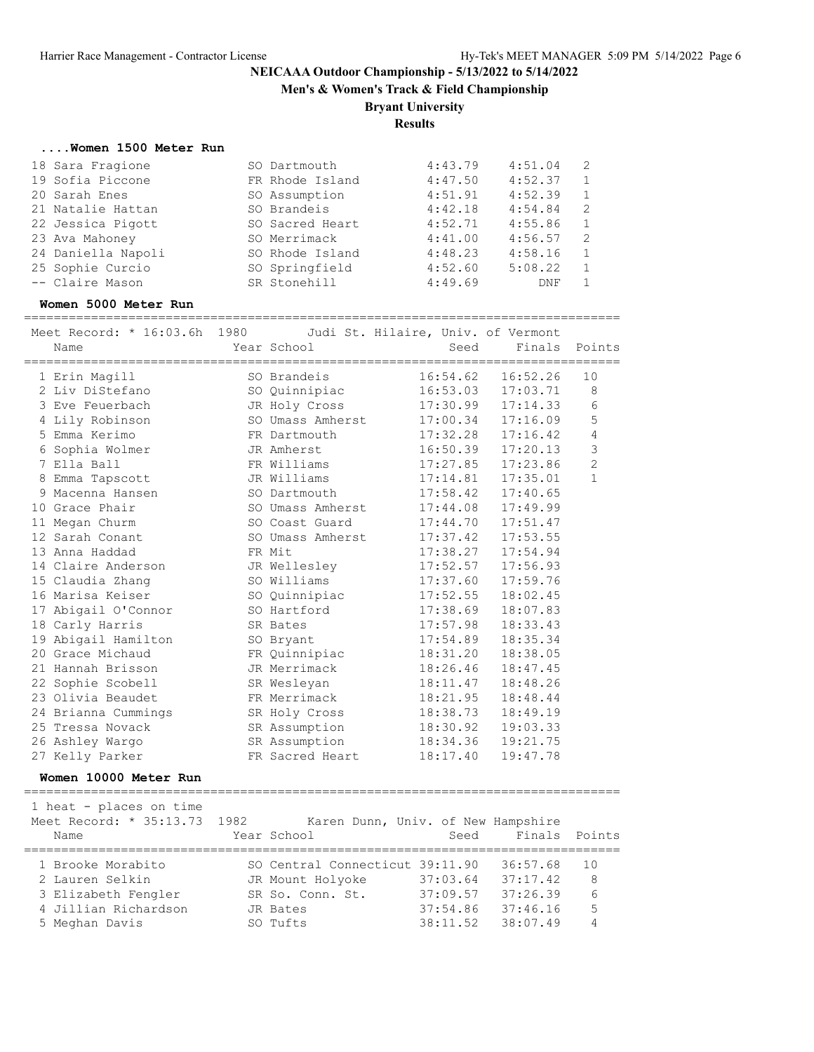**Men's & Women's Track & Field Championship**

## **Bryant University**

**Results**

#### **....Women 1500 Meter Run**

| 18 Sara Fragione   | SO Dartmouth    | 4:43.79 | 4:51.04 | -2           |
|--------------------|-----------------|---------|---------|--------------|
| 19 Sofia Piccone   | FR Rhode Island | 4:47.50 | 4:52.37 | $\mathbf{1}$ |
| 20 Sarah Enes      | SO Assumption   | 4:51.91 | 4:52.39 | 1            |
| 21 Natalie Hattan  | SO Brandeis     | 4:42.18 | 4:54.84 | 2            |
| 22 Jessica Pigott  | SO Sacred Heart | 4:52.71 | 4:55.86 | 1            |
| 23 Ava Mahoney     | SO Merrimack    | 4:41.00 | 4:56.57 | 2            |
| 24 Daniella Napoli | SO Rhode Island | 4:48.23 | 4:58.16 | 1            |
| 25 Sophie Curcio   | SO Springfield  | 4:52.60 | 5:08.22 | 1            |
| -- Claire Mason    | SR Stonehill    | 4:49.69 | DNF     |              |

#### **Women 5000 Meter Run**

================================================================================

| Meet Record: * 16:03.6h 1980 Judi St. Hilaire, Univ. of Vermont |                  |          |                       |                |
|-----------------------------------------------------------------|------------------|----------|-----------------------|----------------|
| Name                                                            | Year School      | Seed     | Finals                | Points         |
|                                                                 |                  |          |                       |                |
| 1 Erin Magill                                                   | SO Brandeis      | 16:54.62 | 16:52.26              | 10             |
| 2 Liv DiStefano                                                 | SO Quinnipiac    |          | $16:53.03$ $17:03.71$ | 8              |
| 3 Eve Feuerbach                                                 | JR Holy Cross    |          | $17:30.99$ $17:14.33$ | 6              |
| 4 Lily Robinson                                                 | SO Umass Amherst | 17:00.34 | 17:16.09              | 5              |
| 5 Emma Kerimo                                                   | FR Dartmouth     | 17:32.28 | 17:16.42              | 4              |
| 6 Sophia Wolmer                                                 | JR Amherst       |          | $16:50.39$ $17:20.13$ | 3              |
| 7 Ella Ball                                                     | FR Williams      |          | $17:27.85$ $17:23.86$ | $\overline{c}$ |
| 8 Emma Tapscott                                                 | JR Williams      | 17:14.81 | 17:35.01              | $\mathbf{1}$   |
| 9 Macenna Hansen                                                | SO Dartmouth     | 17:58.42 | 17:40.65              |                |
| 10 Grace Phair                                                  | SO Umass Amherst | 17:44.08 | 17:49.99              |                |
| 11 Megan Churm                                                  | SO Coast Guard   |          | $17:44.70$ $17:51.47$ |                |
| 12 Sarah Conant                                                 | SO Umass Amherst | 17:37.42 | 17:53.55              |                |
| 13 Anna Haddad                                                  | FR Mit           | 17:38.27 | 17:54.94              |                |
| 14 Claire Anderson                                              | JR Wellesley     | 17:52.57 | 17:56.93              |                |
| 15 Claudia Zhang                                                | SO Williams      |          | 17:37.60 17:59.76     |                |
| 16 Marisa Keiser                                                | SO Quinnipiac    | 17:52.55 | 18:02.45              |                |
| 17 Abigail O'Connor                                             | SO Hartford      | 17:38.69 | 18:07.83              |                |
| 18 Carly Harris                                                 | SR Bates         | 17:57.98 | 18:33.43              |                |
| 19 Abigail Hamilton                                             | SO Bryant        | 17:54.89 | 18:35.34              |                |
| 20 Grace Michaud                                                | FR Quinnipiac    | 18:31.20 | 18:38.05              |                |
| 21 Hannah Brisson                                               | JR Merrimack     | 18:26.46 | 18:47.45              |                |
| 22 Sophie Scobell                                               | SR Wesleyan      | 18:11.47 | 18:48.26              |                |
| 23 Olivia Beaudet                                               | FR Merrimack     | 18:21.95 | 18:48.44              |                |
| 24 Brianna Cummings                                             | SR Holy Cross    | 18:38.73 | 18:49.19              |                |
| 25 Tressa Novack                                                | SR Assumption    | 18:30.92 | 19:03.33              |                |
| 26 Ashley Wargo                                                 | SR Assumption    | 18:34.36 | 19:21.75              |                |
| 27 Kelly Parker                                                 | FR Sacred Heart  | 18:17.40 | 19:47.78              |                |

#### **Women 10000 Meter Run**

================================================================================ 1 heat - places on time

| Meet Record: * 35:13.73 1982 | Karen Dunn, Univ. of New Hampshire |          |               |    |
|------------------------------|------------------------------------|----------|---------------|----|
| Name                         | Year School                        | Seed     | Finals Points |    |
|                              |                                    |          |               |    |
| 1 Brooke Morabito            | SO Central Connecticut 39:11.90    |          | 36:57.68      | 10 |
| 2 Lauren Selkin              | JR Mount Holyoke                   | 37:03.64 | 37:17.42      | 8  |
| 3 Elizabeth Fengler          | SR So. Conn. St.                   | 37:09.57 | 37:26.39      | 6  |
| 4 Jillian Richardson         | JR Bates                           | 37:54.86 | 37:46.16      | 5  |
| 5 Meghan Davis               | SO Tufts                           | 38:11.52 | 38:07.49      | 4  |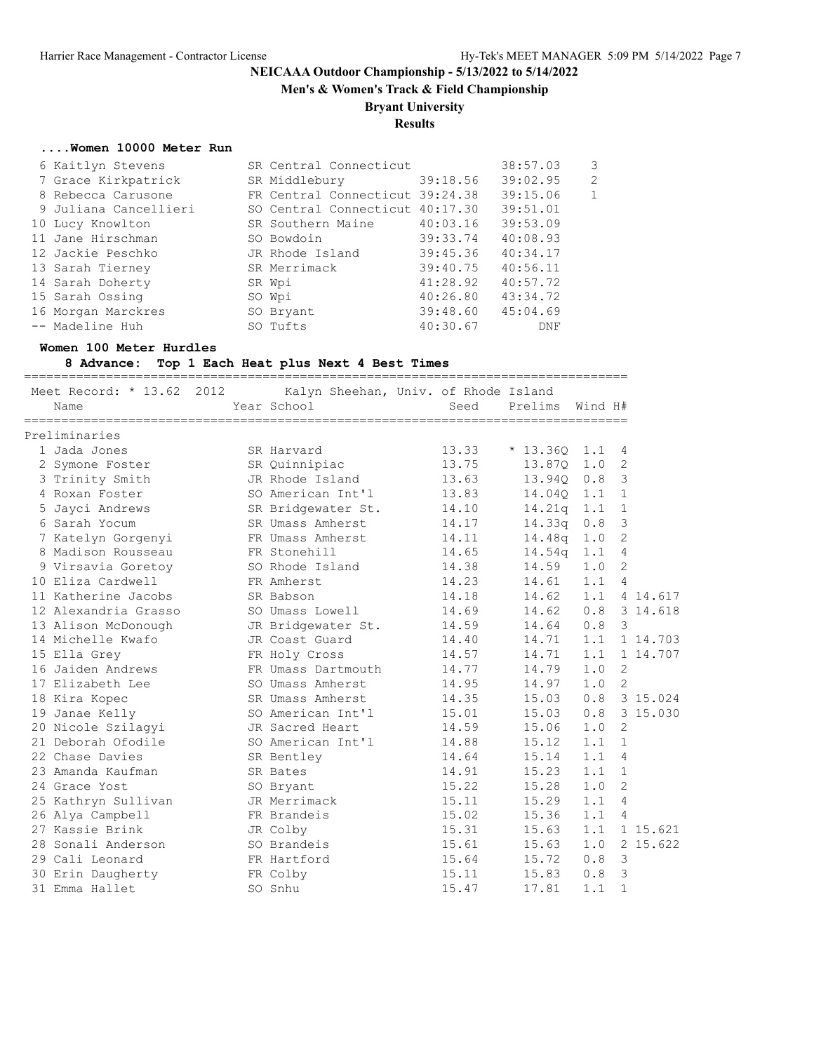**Men's & Women's Track & Field Championship**

## **Bryant University**

## **Results**

#### **....Women 10000 Meter Run**

| 6 Kaitlyn Stevens     | SR Central Connecticut          |          | 38:57.03 | $\mathbf{3}$ |
|-----------------------|---------------------------------|----------|----------|--------------|
| 7 Grace Kirkpatrick   | SR Middlebury 39:18.56          |          | 39:02.95 | 2            |
| 8 Rebecca Carusone    | FR Central Connecticut 39:24.38 |          | 39:15.06 | 1            |
| 9 Juliana Cancellieri | SO Central Connecticut 40:17.30 |          | 39:51.01 |              |
| 10 Lucy Knowlton      | SR Southern Maine               | 40:03.16 | 39:53.09 |              |
| 11 Jane Hirschman     | SO Bowdoin                      | 39:33.74 | 40:08.93 |              |
| 12 Jackie Peschko     | JR Rhode Island                 | 39:45.36 | 40:34.17 |              |
| 13 Sarah Tierney      | SR Merrimack                    | 39:40.75 | 40:56.11 |              |
| 14 Sarah Doherty      | SR Wpi                          | 41:28.92 | 40:57.72 |              |
| 15 Sarah Ossing       | SO Wpi                          | 40:26.80 | 43:34.72 |              |
| 16 Morgan Marckres    | SO Bryant                       | 39:48.60 | 45:04.69 |              |
| -- Madeline Huh       | SO Tufts                        | 40:30.67 | DNF      |              |

### **Women 100 Meter Hurdles**

## **8 Advance: Top 1 Each Heat plus Next 4 Best Times**

| Meet Record: * 13.62 2012 Kalyn Sheehan, Univ. of Rhode Island<br>Name | Year School        | Seed  | Prelims Wind H# |     |                |
|------------------------------------------------------------------------|--------------------|-------|-----------------|-----|----------------|
| Preliminaries                                                          |                    |       |                 |     |                |
| 1 Jada Jones                                                           | SR Harvard         | 13.33 | $*13.36Q$       | 1.1 | 4              |
| 2 Symone Foster                                                        | SR Quinnipiac      | 13.75 | 13.87Q          | 1.0 | 2              |
| 3 Trinity Smith                                                        | JR Rhode Island    | 13.63 | 13.940          | 0.8 | $\overline{3}$ |
| 4 Roxan Foster                                                         | SO American Int'l  | 13.83 | 14.040          | 1.1 | 1              |
| 5 Jayci Andrews                                                        | SR Bridgewater St. | 14.10 | 14.21q          | 1.1 | 1              |
| 6 Sarah Yocum                                                          | SR Umass Amherst   | 14.17 | 14.33q          | 0.8 | 3              |
| 7 Katelyn Gorgenyi                                                     | FR Umass Amherst   | 14.11 | 14.48q          | 1.0 | 2              |
| 8 Madison Rousseau                                                     | FR Stonehill       | 14.65 | 14.54q          | 1.1 | $\overline{4}$ |
| 9 Virsavia Goretoy                                                     | SO Rhode Island    | 14.38 | 14.59           | 1.0 | 2              |
| 10 Eliza Cardwell                                                      | FR Amherst         | 14.23 | 14.61           | 1.1 | $\overline{4}$ |
| 11 Katherine Jacobs                                                    | SR Babson          | 14.18 | 14.62           |     | 1.1 4 14.617   |
| 12 Alexandria Grasso                                                   | SO Umass Lowell    | 14.69 | 14.62           | 0.8 | 3 14.618       |
| 13 Alison McDonough                                                    | JR Bridgewater St. | 14.59 | 14.64           | 0.8 | 3              |
| 14 Michelle Kwafo                                                      | JR Coast Guard     | 14.40 | 14.71           | 1.1 | 1 14.703       |
| 15 Ella Grey                                                           | FR Holy Cross      | 14.57 | 14.71           | 1.1 | 1 14.707       |
| 16 Jaiden Andrews                                                      | FR Umass Dartmouth | 14.77 | 14.79           | 1.0 | 2              |
| 17 Elizabeth Lee                                                       | SO Umass Amherst   | 14.95 | 14.97           | 1.0 | -2             |
| 18 Kira Kopec                                                          | SR Umass Amherst   | 14.35 | 15.03           |     | 0.8 3 15.024   |
| 19 Janae Kelly                                                         | SO American Int'l  | 15.01 | 15.03           | 0.8 | 3 15.030       |
| 20 Nicole Szilagyi                                                     | JR Sacred Heart    | 14.59 | 15.06           | 1.0 | 2              |
| 21 Deborah Ofodile                                                     | SO American Int'l  | 14.88 | 15.12           | 1.1 | $\mathbf{1}$   |
| 22 Chase Davies                                                        | SR Bentley         | 14.64 | 15.14           | 1.1 | $\overline{4}$ |
| 23 Amanda Kaufman                                                      | SR Bates           | 14.91 | 15.23           | 1.1 | 1              |
| 24 Grace Yost                                                          | SO Bryant          | 15.22 | 15.28           | 1.0 | 2              |
| 25 Kathryn Sullivan                                                    | JR Merrimack       | 15.11 | 15.29           | 1.1 | 4              |
| 26 Alya Campbell                                                       | FR Brandeis        | 15.02 | 15.36           | 1.1 | $\overline{4}$ |
| 27 Kassie Brink                                                        | JR Colby           | 15.31 | 15.63           | 1.1 | 1 15.621       |
| 28 Sonali Anderson                                                     | SO Brandeis        | 15.61 | 15.63           | 1.0 | 2 15.622       |
| 29 Cali Leonard                                                        | FR Hartford        | 15.64 | 15.72           | 0.8 | $\mathcal{S}$  |
| 30 Erin Daugherty                                                      | FR Colby           | 15.11 | 15.83           | 0.8 | $\overline{3}$ |
| 31 Emma Hallet                                                         | SO Snhu            | 15.47 | 17.81           | 1.1 | $\mathbf{1}$   |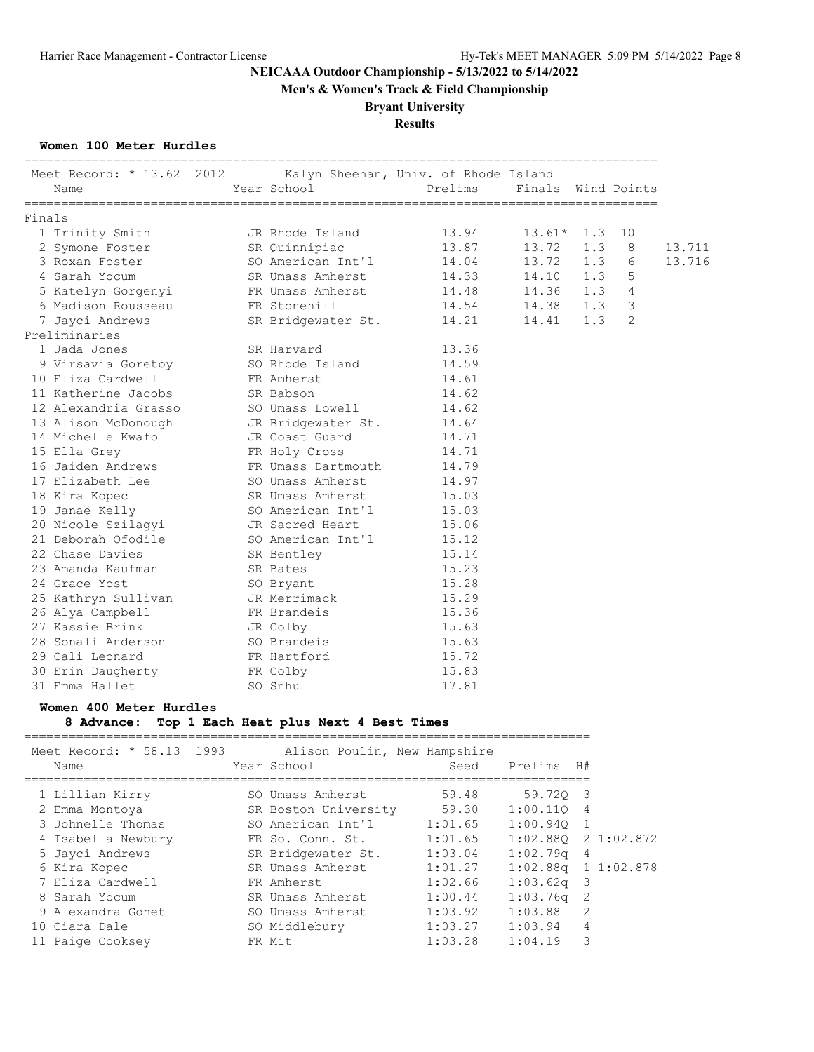**Men's & Women's Track & Field Championship**

## **Bryant University**

**Results**

### **Women 100 Meter Hurdles**

| Meet Record: * 13.62 2012 Kalyn Sheehan, Univ. of Rhode Island<br>Name | Year School        | Prelims | Finals Wind Points |     |                |        |
|------------------------------------------------------------------------|--------------------|---------|--------------------|-----|----------------|--------|
| Finals                                                                 |                    |         |                    |     |                |        |
| 1 Trinity Smith                                                        | JR Rhode Island    | 13.94   | $13.61*$ 1.3       |     | 10             |        |
| 2 Symone Foster                                                        | SR Quinnipiac      | 13.87   | 13.72              | 1.3 | 8              | 13.711 |
| 3 Roxan Foster                                                         | SO American Int'l  | 14.04   | 13.72 1.3          |     | 6              | 13.716 |
| 4 Sarah Yocum                                                          | SR Umass Amherst   | 14.33   | $14.10$ $1.3$      |     | 5              |        |
| 5 Katelyn Gorgenyi                                                     | FR Umass Amherst   | 14.48   | 14.36 1.3          |     | $\overline{4}$ |        |
| 6 Madison Rousseau                                                     | FR Stonehill       | 14.54   | 14.38              | 1.3 | 3              |        |
| 7 Jayci Andrews                                                        | SR Bridgewater St. | 14.21   | 14.41 1.3          |     | 2              |        |
| Preliminaries                                                          |                    |         |                    |     |                |        |
| 1 Jada Jones                                                           | SR Harvard         | 13.36   |                    |     |                |        |
| 9 Virsavia Goretoy 50 Rhode Island                                     |                    | 14.59   |                    |     |                |        |
| 10 Eliza Cardwell                                                      | FR Amherst         | 14.61   |                    |     |                |        |
| 11 Katherine Jacobs                                                    | SR Babson          | 14.62   |                    |     |                |        |
| 12 Alexandria Grasso                                                   | SO Umass Lowell    | 14.62   |                    |     |                |        |
| 13 Alison McDonough                                                    | JR Bridgewater St. | 14.64   |                    |     |                |        |
| 14 Michelle Kwafo                                                      | JR Coast Guard     | 14.71   |                    |     |                |        |
| 15 Ella Grey                                                           | FR Holy Cross      | 14.71   |                    |     |                |        |
| 16 Jaiden Andrews                                                      | FR Umass Dartmouth | 14.79   |                    |     |                |        |
| 17 Elizabeth Lee                                                       | SO Umass Amherst   | 14.97   |                    |     |                |        |
| 18 Kira Kopec                                                          | SR Umass Amherst   | 15.03   |                    |     |                |        |
| 19 Janae Kelly                                                         | SO American Int'l  | 15.03   |                    |     |                |        |
| 20 Nicole Szilagyi                                                     | JR Sacred Heart    | 15.06   |                    |     |                |        |
| 21 Deborah Ofodile                                                     | SO American Int'l  | 15.12   |                    |     |                |        |
| 22 Chase Davies                                                        | SR Bentley         | 15.14   |                    |     |                |        |
| 23 Amanda Kaufman                                                      | SR Bates           | 15.23   |                    |     |                |        |
| 24 Grace Yost                                                          | SO Bryant          | 15.28   |                    |     |                |        |
| 25 Kathryn Sullivan                                                    | JR Merrimack       | 15.29   |                    |     |                |        |
| 26 Alya Campbell                                                       | FR Brandeis        | 15.36   |                    |     |                |        |
| 27 Kassie Brink                                                        | JR Colby           | 15.63   |                    |     |                |        |
| 28 Sonali Anderson                                                     | SO Brandeis        | 15.63   |                    |     |                |        |
| 29 Cali Leonard                                                        | FR Hartford        | 15.72   |                    |     |                |        |
| 30 Erin Daugherty                                                      | FR Colby           | 15.83   |                    |     |                |        |
| 31 Emma Hallet                                                         | SO Snhu            | 17.81   |                    |     |                |        |

### **Women 400 Meter Hurdles**

## **8 Advance: Top 1 Each Heat plus Next 4 Best Times**

| Meet Record: * 58.13 1993<br>Name | Alison Poulin, New Hampshire<br>Year School | Seed    | Prelims H#              |                |  |
|-----------------------------------|---------------------------------------------|---------|-------------------------|----------------|--|
| 1 Lillian Kirry                   | SO Umass Amherst                            | 59.48   | 59.720 3                |                |  |
| 2 Emma Montoya                    | SR Boston University                        | 59.30   | $1:00.110$ 4            |                |  |
| 3 Johnelle Thomas                 | SO American Int'l                           | 1:01.65 | $1:00.940$ 1            |                |  |
| 4 Isabella Newbury                | FR So. Conn. St.                            | 1:01.65 | $1:02.880$ 2 1:02.872   |                |  |
| 5 Jayci Andrews                   | SR Bridgewater St.                          | 1:03.04 | $1:02$ .79q             | $\overline{4}$ |  |
| 6 Kira Kopec                      | SR Umass Amherst                            | 1:01.27 | $1:02.88q$ 1 $1:02.878$ |                |  |
| 7 Eliza Cardwell                  | FR Amherst                                  | 1:02.66 | $1:03.62q$ 3            |                |  |
| 8 Sarah Yocum                     | SR Umass Amherst                            | 1:00.44 | $1:03.76q$ 2            |                |  |
| 9 Alexandra Gonet                 | SO Umass Amherst                            | 1:03.92 | 1:03.88                 | $\mathcal{P}$  |  |
| 10 Ciara Dale                     | SO Middlebury                               | 1:03.27 | 1:03.94                 | $\overline{4}$ |  |
| 11 Paige Cooksey                  | FR Mit                                      | 1:03.28 | 1:04.19                 | 3              |  |
|                                   |                                             |         |                         |                |  |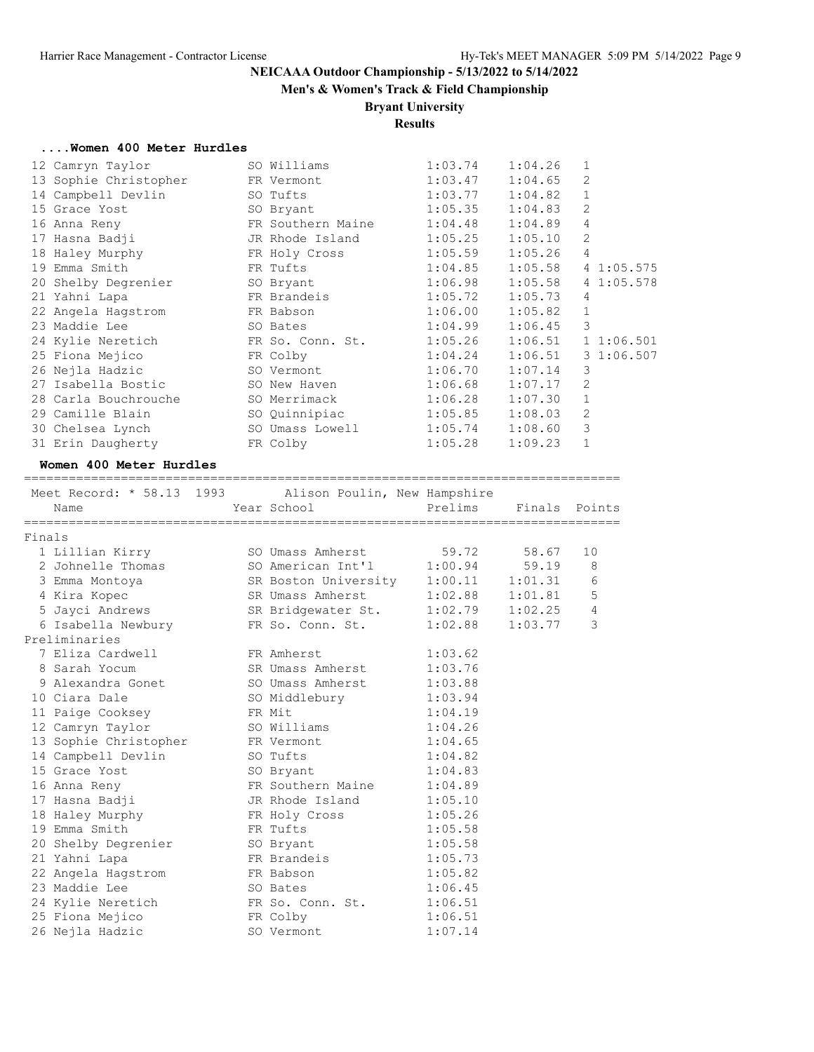# **Men's & Women's Track & Field Championship**

# **Bryant University**

## **Results**

#### **....Women 400 Meter Hurdles**

| 12 Camryn Taylor      | SO Williams       | 1:03.74 | 1:04.26 | 1              |           |
|-----------------------|-------------------|---------|---------|----------------|-----------|
| 13 Sophie Christopher | FR Vermont        | 1:03.47 | 1:04.65 | 2              |           |
| 14 Campbell Devlin    | SO Tufts          | 1:03.77 | 1:04.82 | $\mathbf{1}$   |           |
| 15 Grace Yost         | SO Bryant         | 1:05.35 | 1:04.83 | 2              |           |
| 16 Anna Reny          | FR Southern Maine | 1:04.48 | 1:04.89 | 4              |           |
| 17 Hasna Badji        | JR Rhode Island   | 1:05.25 | 1:05.10 | $\mathfrak{D}$ |           |
| 18 Haley Murphy       | FR Holy Cross     | 1:05.59 | 1:05.26 | $\overline{4}$ |           |
| 19 Emma Smith         | FR Tufts          | 1:04.85 | 1:05.58 |                | 41:05.575 |
| 20 Shelby Degrenier   | SO Bryant         | 1:06.98 | 1:05.58 |                | 41:05.578 |
| 21 Yahni Lapa         | FR Brandeis       | 1:05.72 | 1:05.73 | 4              |           |
| 22 Angela Hagstrom    | FR Babson         | 1:06.00 | 1:05.82 | $\mathbf{1}$   |           |
| 23 Maddie Lee         | SO Bates          | 1:04.99 | 1:06.45 | 3              |           |
| 24 Kylie Neretich     | FR So. Conn. St.  | 1:05.26 | 1:06.51 |                | 11:06.501 |
| 25 Fiona Mejico       | FR Colby          | 1:04.24 | 1:06.51 |                | 31:06.507 |
| 26 Nejla Hadzic       | SO Vermont        | 1:06.70 | 1:07.14 | 3              |           |
| 27 Isabella Bostic    | SO New Haven      | 1:06.68 | 1:07.17 | 2              |           |
| 28 Carla Bouchrouche  | SO Merrimack      | 1:06.28 | 1:07.30 | $\mathbf{1}$   |           |
| 29 Camille Blain      | SO Quinnipiac     | 1:05.85 | 1:08.03 | $\mathfrak{D}$ |           |
| 30 Chelsea Lynch      | SO Umass Lowell   | 1:05.74 | 1:08.60 | 3              |           |
| 31 Erin Daugherty     | FR Colby          | 1:05.28 | 1:09.23 | 1              |           |
|                       |                   |         |         |                |           |

#### **Women 400 Meter Hurdles**

================================================================================

|        | Meet Record: * 58.13 1993 | Alison Poulin, New Hampshire       |                     |               |    |
|--------|---------------------------|------------------------------------|---------------------|---------------|----|
|        | Name                      | Year School                        | Prelims             | Finals Points |    |
| Finals |                           |                                    |                     |               |    |
|        | 1 Lillian Kirry           | SO Umass Amherst                   | 59.72               | 58.67         | 10 |
|        | 2 Johnelle Thomas         | SO American Int'l                  | 1:00.94             | 59.19         | 8  |
|        | 3 Emma Montoya            | SR Boston University 1:00.11       |                     | 1:01.31       | 6  |
|        | 4 Kira Kopec              | SR Umass Amherst                   | $1:02.88$ $1:01.81$ |               | 5  |
|        | 5 Jayci Andrews           | SR Bridgewater St. 1:02.79 1:02.25 |                     |               | 4  |
|        | 6 Isabella Newbury        | FR So. Conn. St.                   | 1:02.88             | 1:03.77       | 3  |
|        | Preliminaries             |                                    |                     |               |    |
|        | 7 Eliza Cardwell          | FR Amherst                         | 1:03.62             |               |    |
|        | 8 Sarah Yocum             | SR Umass Amherst                   | 1:03.76             |               |    |
|        | 9 Alexandra Gonet         | SO Umass Amherst                   | 1:03.88             |               |    |
|        | 10 Ciara Dale             | SO Middlebury                      | 1:03.94             |               |    |
|        | 11 Paige Cooksey          | FR Mit                             | 1:04.19             |               |    |
|        | 12 Camryn Taylor          | SO Williams                        | 1:04.26             |               |    |
|        | 13 Sophie Christopher     | FR Vermont                         | 1:04.65             |               |    |
|        | 14 Campbell Devlin        | SO Tufts                           | 1:04.82             |               |    |
|        | 15 Grace Yost             | SO Bryant                          | 1:04.83             |               |    |
|        | 16 Anna Reny              | FR Southern Maine 1:04.89          |                     |               |    |
|        | 17 Hasna Badji            | JR Rhode Island                    | 1:05.10             |               |    |
|        | 18 Haley Murphy           | FR Holy Cross                      | 1:05.26             |               |    |
|        | 19 Emma Smith             | FR Tufts                           | 1:05.58             |               |    |
|        | 20 Shelby Degrenier       | SO Bryant                          | 1:05.58             |               |    |
|        | 21 Yahni Lapa             | FR Brandeis                        | 1:05.73             |               |    |
|        | 22 Angela Hagstrom        | FR Babson                          | 1:05.82             |               |    |
|        | 23 Maddie Lee             | SO Bates                           | 1:06.45             |               |    |
|        | 24 Kylie Neretich         | FR So. Conn. St.                   | 1:06.51             |               |    |
|        | 25 Fiona Mejico           | FR Colby                           | 1:06.51             |               |    |
|        | 26 Nejla Hadzic           | SO Vermont                         | 1:07.14             |               |    |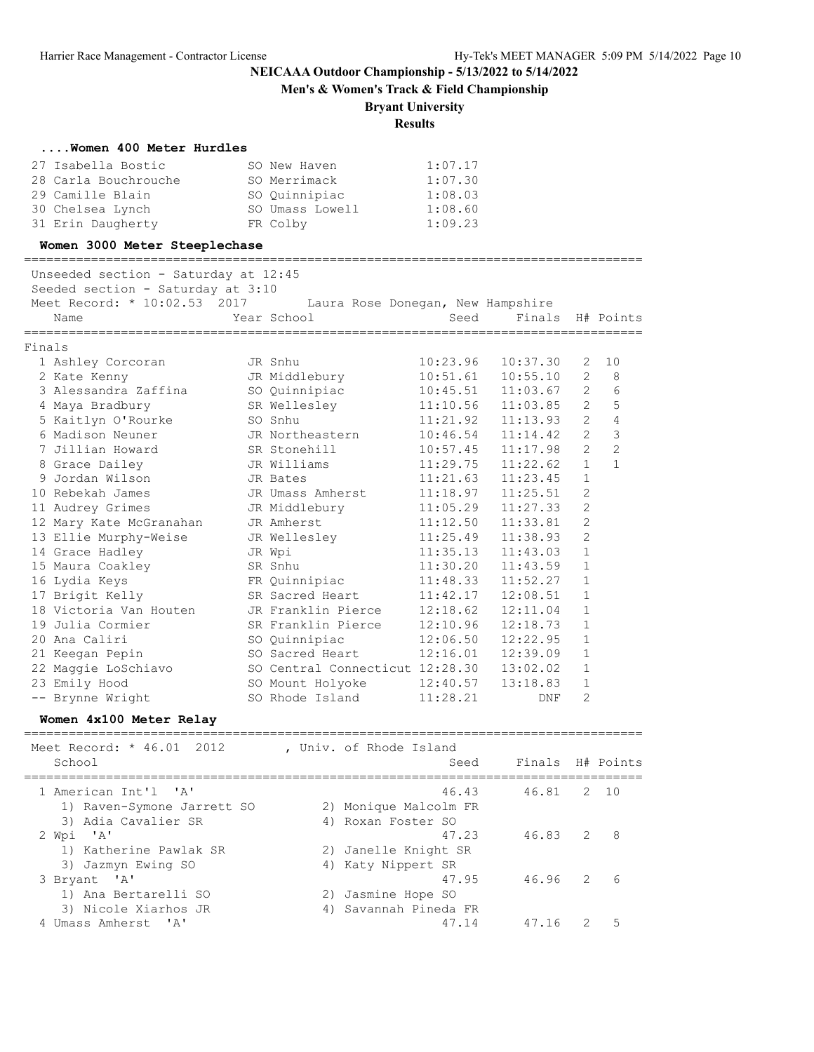**Men's & Women's Track & Field Championship**

### **Bryant University**

**Results**

#### **....Women 400 Meter Hurdles**

| 27 Isabella Bostic   | SO New Haven    | 1:07.17 |
|----------------------|-----------------|---------|
| 28 Carla Bouchrouche | SO Merrimack    | 1:07.30 |
| 29 Camille Blain     | SO Quinnipiac   | 1:08.03 |
| 30 Chelsea Lynch     | SO Umass Lowell | 1:08.60 |
| 31 Erin Daugherty    | FR Colby        | 1:09.23 |

#### **Women 3000 Meter Steeplechase**

===================================================================================

Unseeded section - Saturday at 12:45

Seeded section - Saturday at  $3:10$ <br>Meet Record: \*  $10:02$  53 2017

| Meet Record: * 10:02.53 2017 |               | Laura Rose Donegan, New Hampshire |                            |     |
|------------------------------|---------------|-----------------------------------|----------------------------|-----|
| Name                         | Year School   | Seed                              | Finals H# Points           |     |
| Finals                       |               |                                   |                            |     |
| 1 Ashley Corcoran            | JR Snhu       |                                   | $10:23.96$ $10:37.30$ 2 10 |     |
| 2 Kate Kenny                 | JR Middlebury |                                   | $10:51.61$ $10:55.10$      | - 8 |

|  | z vale venny                                    | UN MINATENAI Y                  | 10.JI.UI | 10.JJ.IU | ∠              | $\lambda$      |
|--|-------------------------------------------------|---------------------------------|----------|----------|----------------|----------------|
|  | 3 Alessandra Zaffina                            | SO Quinnipiac                   | 10:45.51 | 11:03.67 | 2              | 6              |
|  | 4 Maya Bradbury                                 | SR Wellesley                    | 11:10.56 | 11:03.85 | 2              | 5              |
|  | 5 Kaitlyn O'Rourke                              | SO Snhu                         | 11:21.92 | 11:13.93 | 2              | $\overline{4}$ |
|  | 6 Madison Neuner                                | JR Northeastern                 | 10:46.54 | 11:14.42 | $\overline{2}$ | $\mathfrak{Z}$ |
|  | 7 Jillian Howard                                | SR Stonehill                    | 10:57.45 | 11:17.98 | $\overline{2}$ | 2              |
|  | 8 Grace Dailey                                  | JR Williams                     | 11:29.75 | 11:22.62 | $\mathbf{1}$   | $\mathbf{1}$   |
|  | 9 Jordan Wilson                                 | JR Bates                        | 11:21.63 | 11:23.45 | $\mathbf{1}$   |                |
|  | 10 Rebekah James                                | JR Umass Amherst                | 11:18.97 | 11:25.51 | $\mathfrak{D}$ |                |
|  | 11 Audrey Grimes                                | JR Middlebury                   | 11:05.29 | 11:27.33 | 2              |                |
|  | 12 Mary Kate McGranahan                         | JR Amherst                      | 11:12.50 | 11:33.81 | $\overline{2}$ |                |
|  | 13 Ellie Murphy-Weise Go JR Wellesley           |                                 | 11:25.49 | 11:38.93 | $\overline{2}$ |                |
|  | 14 Grace Hadley                                 | JR Wpi                          | 11:35.13 | 11:43.03 | $\mathbf{1}$   |                |
|  | 15 Maura Coakley                                | SR Snhu                         | 11:30.20 | 11:43.59 | $\mathbf{1}$   |                |
|  |                                                 |                                 | 11:48.33 | 11:52.27 | $\mathbf{1}$   |                |
|  | 17 Brigit Kelly                                 | SR Sacred Heart                 | 11:42.17 | 12:08.51 | $\mathbf{1}$   |                |
|  | 18 Victoria Van Houten       JR Franklin Pierce |                                 | 12:18.62 | 12:11.04 | $\mathbf{1}$   |                |
|  | 19 Julia Cormier                                | SR Franklin Pierce              | 12:10.96 | 12:18.73 | $\mathbf{1}$   |                |
|  | 20 Ana Caliri                                   | SO Quinnipiac                   | 12:06.50 | 12:22.95 | $\mathbf{1}$   |                |
|  | 21 Keegan Pepin                                 | SO Sacred Heart                 | 12:16.01 | 12:39.09 | $\mathbf{1}$   |                |
|  | 22 Maggie LoSchiavo                             | SO Central Connecticut 12:28.30 |          | 13:02.02 | $\mathbf{1}$   |                |
|  | 23 Emily Hood                                   | SO Mount Holyoke                | 12:40.57 | 13:18.83 | $\mathbf{1}$   |                |
|  | -- Brynne Wright                                | SO Rhode Island                 | 11:28.21 | DNF      | $\overline{2}$ |                |

### **Women 4x100 Meter Relay**

=================================================================================== Meet Record: \* 46.01 2012 , Univ. of Rhode Island School School Seed Finals H# Points =================================================================================== 1 American Int'l 'A' 46.43 46.81 2 10 1) Raven-Symone Jarrett SO 2) Monique Malcolm FR 3) Adia Cavalier SR 4) Roxan Foster SO 2 Wpi 'A' 47.23 46.83 2 8 1) Katherine Pawlak SR 2) Janelle Knight SR 3) Jazmyn Ewing SO 4) Katy Nippert SR 3 Bryant 'A' 47.95 46.96 2 6 1) Ana Bertarelli SO 2) Jasmine Hope SO 3) Nicole Xiarhos JR 4) Savannah Pineda FR 9, NICOLE ATALINS ON THE 47 SAVAILLAIR FINE 47.14 47.16 2 5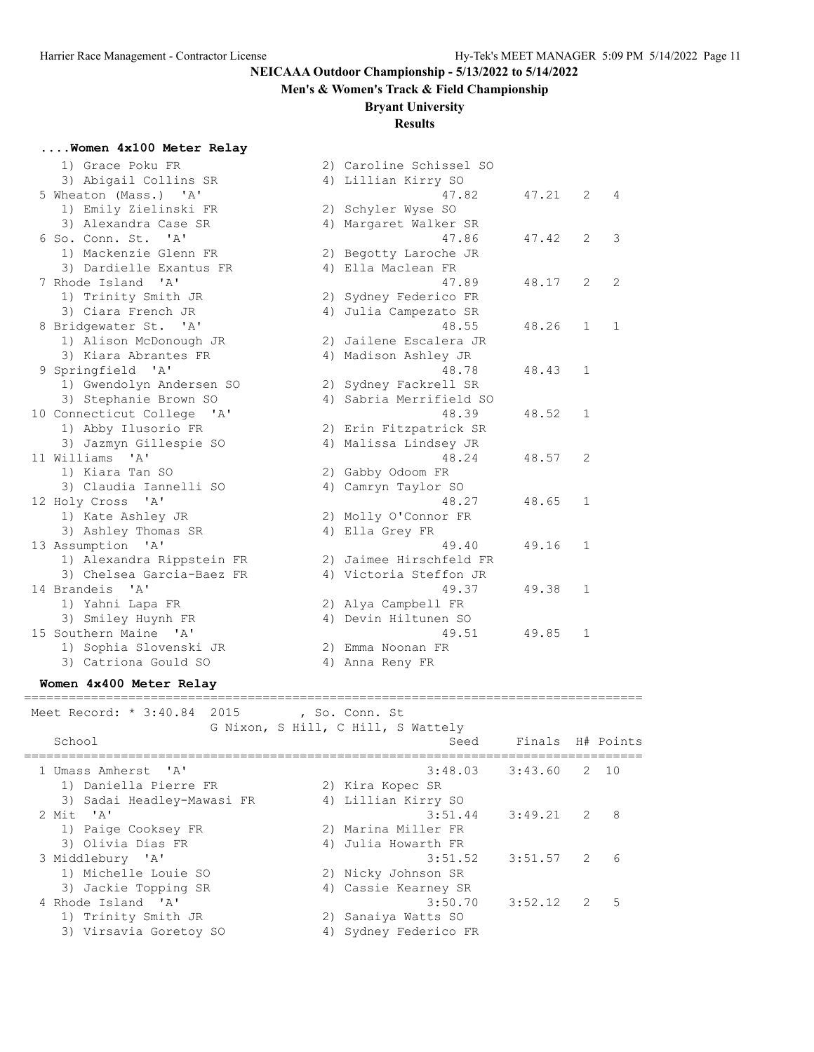# **Men's & Women's Track & Field Championship**

## **Bryant University**

## **Results**

## **....Women 4x100 Meter Relay**

| 1) Grace Poku FR                             |    | 2) Caroline Schissel SO |       |                |                |
|----------------------------------------------|----|-------------------------|-------|----------------|----------------|
| 3) Abigail Collins SR                        |    | 4) Lillian Kirry SO     |       |                |                |
| 5 Wheaton (Mass.) 'A'                        |    | 47.82                   | 47.21 | $\overline{2}$ | $\overline{4}$ |
| 1) Emily Zielinski FR                        |    | 2) Schyler Wyse SO      |       |                |                |
| 3) Alexandra Case SR                         |    | 4) Margaret Walker SR   |       |                |                |
| 6 So. Conn. St.<br>$\mathbf{I}$ $\mathbf{A}$ |    | 47.86                   | 47.42 | $\overline{2}$ | 3              |
| 1) Mackenzie Glenn FR                        |    | 2) Begotty Laroche JR   |       |                |                |
| 3) Dardielle Exantus FR                      |    | 4) Ella Maclean FR      |       |                |                |
| 7 Rhode Island 'A'                           |    | 47.89                   | 48.17 | 2              | 2              |
| 1) Trinity Smith JR                          |    | 2) Sydney Federico FR   |       |                |                |
| 3) Ciara French JR                           | 4) | Julia Campezato SR      |       |                |                |
| 8 Bridgewater St. 'A'                        |    | 48.55                   | 48.26 | $\mathbf{1}$   | 1              |
| 1) Alison McDonough JR                       |    | 2) Jailene Escalera JR  |       |                |                |
| 3) Kiara Abrantes FR                         |    | 4) Madison Ashley JR    |       |                |                |
| 9 Springfield<br>$^{\prime}$ A $^{\prime}$   |    | 48.78                   | 48.43 | 1              |                |
| 1) Gwendolyn Andersen SO                     |    | 2) Sydney Fackrell SR   |       |                |                |
| 3) Stephanie Brown SO                        |    | 4) Sabria Merrifield SO |       |                |                |
| 10 Connecticut College 'A'                   |    | 48.39                   | 48.52 | 1              |                |
| 1) Abby Ilusorio FR                          |    | 2) Erin Fitzpatrick SR  |       |                |                |
| 3) Jazmyn Gillespie SO                       |    | 4) Malissa Lindsey JR   |       |                |                |
| 11 Williams 'A'                              |    | 48.24                   | 48.57 | 2              |                |
| 1) Kiara Tan SO                              |    | 2) Gabby Odoom FR       |       |                |                |
| 3) Claudia Iannelli SO                       |    | 4) Camryn Taylor SO     |       |                |                |
| 12 Holy Cross 'A'                            |    | 48.27                   | 48.65 | $\mathbf{1}$   |                |
| 1) Kate Ashley JR                            |    | 2) Molly O'Connor FR    |       |                |                |
| 3) Ashley Thomas SR                          |    | 4) Ella Grey FR         |       |                |                |
| 13 Assumption 'A'                            |    | 49.40                   | 49.16 | $\mathbf{1}$   |                |
| 1) Alexandra Rippstein FR                    |    | 2) Jaimee Hirschfeld FR |       |                |                |
| 3) Chelsea Garcia-Baez FR                    |    | 4) Victoria Steffon JR  |       |                |                |
| 14 Brandeis<br>$^{\prime}$ A $^{\prime}$     |    | 49.37                   | 49.38 | $\mathbf{1}$   |                |
| 1) Yahni Lapa FR                             |    | 2) Alya Campbell FR     |       |                |                |
| 3) Smiley Huynh FR                           |    | 4) Devin Hiltunen SO    |       |                |                |
| 15 Southern Maine 'A'                        |    | 49.51                   | 49.85 | 1              |                |
| 1) Sophia Slovenski JR                       |    | 2) Emma Noonan FR       |       |                |                |
| 3) Catriona Gould SO                         |    | 4) Anna Reny FR         |       |                |                |
|                                              |    |                         |       |                |                |

#### **Women 4x400 Meter Relay** ===================================================================================

| Meet Record: * 3:40.84 2015                                       | , So. Conn. St<br>G Nixon, S Hill, C Hill, S Wattely   |                          |   |    |
|-------------------------------------------------------------------|--------------------------------------------------------|--------------------------|---|----|
| School                                                            | Seed                                                   | Finals H# Points         |   |    |
| 1 Umass Amherst 'A'<br>1) Daniella Pierre FR                      | 2) Kira Kopec SR                                       | $3:48.03$ $3:43.60$ 2 10 |   |    |
| 3) Sadai Headley-Mawasi FR<br>2 Mit 'A'<br>1) Paige Cooksey FR    | 4) Lillian Kirry SO<br>3:51.44<br>2) Marina Miller FR  | 3:49.21                  | 2 | 8  |
| 3) Olivia Dias FR<br>3 Middlebury 'A'<br>1) Michelle Louie SO     | 4) Julia Howarth FR<br>3:51.52<br>2) Nicky Johnson SR  | $3:51.57$ 2              |   | 6  |
| 3) Jackie Topping SR<br>4 Rhode Island 'A'<br>1) Trinity Smith JR | 4) Cassie Kearney SR<br>3:50.70<br>2) Sanaiya Watts SO | $3:52.12$ 2              |   | .5 |
| 3) Virsavia Goretoy SO                                            | Sydney Federico FR<br>4)                               |                          |   |    |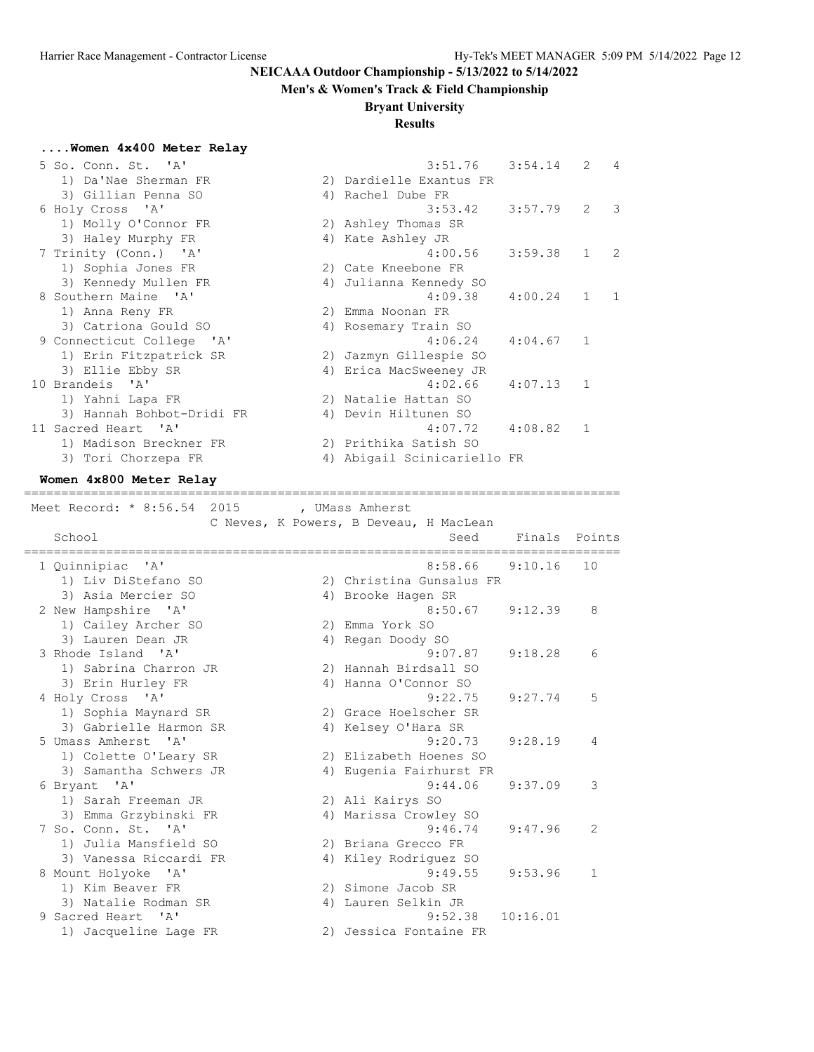#### **Men's & Women's Track & Field Championship**

#### **Bryant University**

### **Results**

### **....Women 4x400 Meter Relay**

| 5 So. Conn. St. 'A'       | $3:51.76$ $3:54.14$ 2 4     |         |             |            |
|---------------------------|-----------------------------|---------|-------------|------------|
| 1) Da'Nae Sherman FR      | 2) Dardielle Exantus FR     |         |             |            |
| 3) Gillian Penna SO       | 4) Rachel Dube FR           |         |             |            |
| 6 Holy Cross 'A'          | $3:53.42$ $3:57.79$         |         | $2 \quad 3$ |            |
| 1) Molly O'Connor FR      | 2) Ashley Thomas SR         |         |             |            |
| 3) Haley Murphy FR        | 4) Kate Ashley JR           |         |             |            |
| 7 Trinity (Conn.) 'A'     | 4:00.56                     | 3:59.38 | $1 \quad 2$ |            |
| 1) Sophia Jones FR        | 2) Cate Kneebone FR         |         |             |            |
| 3) Kennedy Mullen FR      | 4) Julianna Kennedy SO      |         |             |            |
| 8 Southern Maine 'A'      | 4:09.38                     | 4:00.24 | 1           | $\sqrt{1}$ |
| 1) Anna Reny FR           | 2) Emma Noonan FR           |         |             |            |
| 3) Catriona Gould SO      | 4) Rosemary Train SO        |         |             |            |
| 9 Connecticut College 'A' | 4:06.24                     | 4:04.67 | 1           |            |
| 1) Erin Fitzpatrick SR    | 2) Jazmyn Gillespie SO      |         |             |            |
| 3) Ellie Ebby SR          | 4) Erica MacSweeney JR      |         |             |            |
| 10 Brandeis 'A'           | 4:02.66                     | 4:07.13 | 1           |            |
| 1) Yahni Lapa FR          | 2) Natalie Hattan SO        |         |             |            |
| 3) Hannah Bohbot-Dridi FR | 4) Devin Hiltunen SO        |         |             |            |
| 11 Sacred Heart 'A'       | 4:07.72                     | 4:08.82 | 1           |            |
| 1) Madison Breckner FR    | 2) Prithika Satish SO       |         |             |            |
| 3) Tori Chorzepa FR       | 4) Abigail Scinicariello FR |         |             |            |
|                           |                             |         |             |            |

#### **Women 4x800 Meter Relay**

================================================================================

Meet Record: \* 8:56.54 2015 , UMass Amherst

 C Neves, K Powers, B Deveau, H MacLean School Seed Finals Points ================================================================================ 1 Quinnipiac 'A' 8:58.66 9:10.16 10 1) Liv DiStefano SO 2) Christina Gunsalus FR 3) Asia Mercier SO 4) Brooke Hagen SR 2 New Hampshire 'A' 8:50.67 9:12.39 8 1) Cailey Archer SO 2) Emma York SO 3) Lauren Dean JR 4) Regan Doody SO 3 Rhode Island 'A' 9:07.87 9:18.28 6 1) Sabrina Charron JR 2) Hannah Birdsall SO 3) Erin Hurley FR 4) Hanna O'Connor SO 4 Holy Cross 'A' 9:22.75 9:27.74 5 1) Sophia Maynard SR 2) Grace Hoelscher SR 3) Gabrielle Harmon SR 4) Kelsey O'Hara SR 5 Umass Amherst 'A' 9:20.73 9:28.19 4 1) Colette O'Leary SR 2) Elizabeth Hoenes SO 3) Samantha Schwers JR 4) Eugenia Fairhurst FR 6 Bryant 'A' 9:44.06 9:37.09 3 1) Sarah Freeman JR 2) Ali Kairys SO 3) Emma Grzybinski FR 4) Marissa Crowley SO 7 So. Conn. St. 'A' 9:46.74 9:47.96 2 1) Julia Mansfield SO 2) Briana Grecco FR 3) Vanessa Riccardi FR 4) Kiley Rodriguez SO 8 Mount Holyoke 'A' 9:49.55 9:53.96 1 1) Kim Beaver FR 2) Simone Jacob SR 3) Natalie Rodman SR 4) Lauren Selkin JR 9 Sacred Heart 'A' 9:52.38 10:16.01 1) Jacqueline Lage FR 2) Jessica Fontaine FR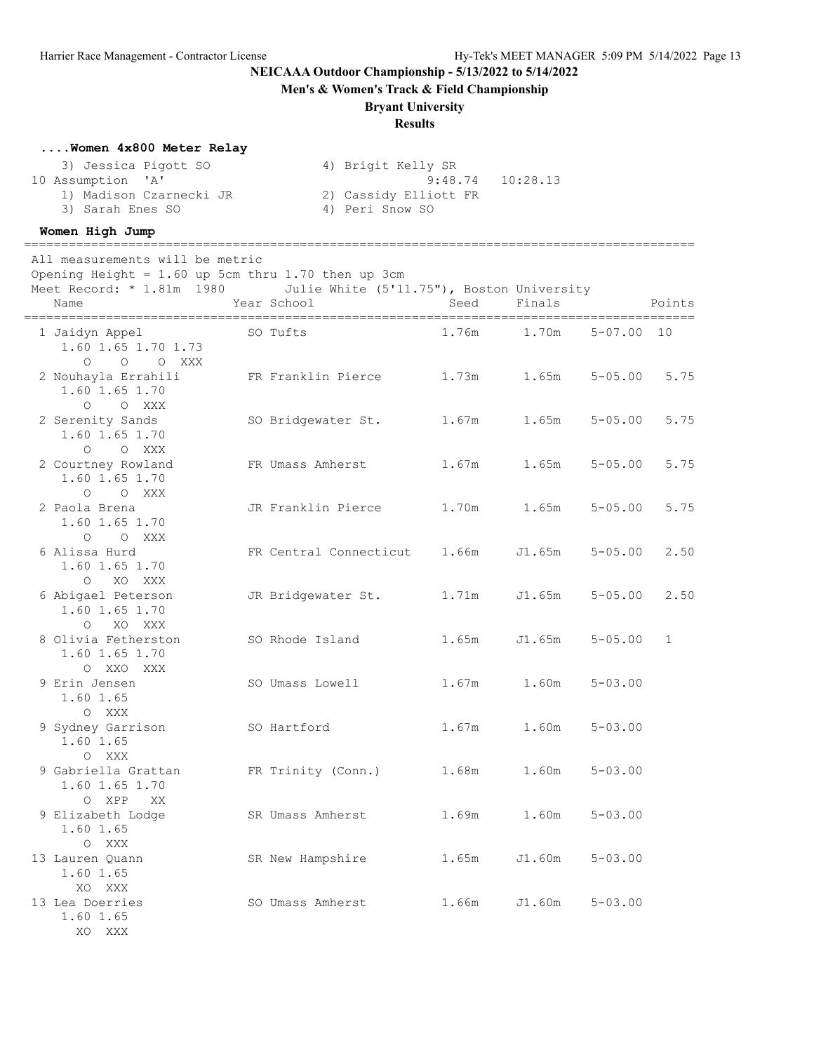**Men's & Women's Track & Field Championship**

## **Bryant University**

## **Results**

#### **....Women 4x800 Meter Relay**

| 3) Jessica Pigott SO    | 4) Brigit Kelly SR    |                      |
|-------------------------|-----------------------|----------------------|
| 10 Assumption 'A'       |                       | $9:48.74$ $10:28.13$ |
| 1) Madison Czarnecki JR | 2) Cassidy Elliott FR |                      |
| 3) Sarah Enes SO        | 4) Peri Snow SO       |                      |

#### **Women High Jump**

All measurements will be metric

Opening Height =  $1.60$  up 5cm thru 1.70 then up 3cm

Meet Record: \* 1.81m 1980 Julie White (5'11.75"), Boston University

==========================================================================================

| Name                                                        | Year School            | Seed  | Finals |             | Points       |
|-------------------------------------------------------------|------------------------|-------|--------|-------------|--------------|
| 1 Jaidyn Appel<br>1.60 1.65 1.70 1.73<br>O O XXX<br>$\circ$ | SO Tufts               | 1.76m | 1.70m  | $5 - 07.00$ | 10           |
| 2 Nouhayla Errahili<br>1.60 1.65 1.70<br>$\circ$<br>O XXX   | FR Franklin Pierce     | 1.73m | 1.65m  | $5 - 05.00$ | 5.75         |
| 2 Serenity Sands<br>1.60 1.65 1.70<br>$\Omega$<br>O XXX     | SO Bridgewater St.     | 1.67m | 1.65m  | $5 - 05.00$ | 5.75         |
| 2 Courtney Rowland<br>1.60 1.65 1.70<br>O O XXX             | FR Umass Amherst       | 1.67m | 1.65m  | $5 - 05.00$ | 5.75         |
| 2 Paola Brena<br>1.60 1.65 1.70<br>O O XXX                  | JR Franklin Pierce     | 1.70m | 1.65m  | $5 - 05.00$ | 5.75         |
| 6 Alissa Hurd<br>1.60 1.65 1.70<br>O XO XXX                 | FR Central Connecticut | 1.66m | J1.65m | $5 - 05.00$ | 2.50         |
| 6 Abigael Peterson<br>1.60 1.65 1.70<br>XO XXX<br>$\circ$   | JR Bridgewater St.     | 1.71m | J1.65m | $5 - 05.00$ | 2.50         |
| 8 Olivia Fetherston<br>1.60 1.65 1.70<br>O XXO XXX          | SO Rhode Island        | 1.65m | J1.65m | $5 - 05.00$ | $\mathbf{1}$ |
| 9 Erin Jensen<br>1.60 1.65<br>O XXX                         | SO Umass Lowell        | 1.67m | 1.60m  | $5 - 03.00$ |              |
| 9 Sydney Garrison<br>1.60 1.65<br>O XXX                     | SO Hartford            | 1.67m | 1.60m  | $5 - 03.00$ |              |
| 9 Gabriella Grattan<br>1.60 1.65 1.70<br>0 XPP<br>XX        | FR Trinity (Conn.)     | 1.68m | 1.60m  | $5 - 03.00$ |              |
| 9 Elizabeth Lodge<br>1.60 1.65<br>O XXX                     | SR Umass Amherst       | 1.69m | 1.60m  | $5 - 03.00$ |              |
| 13 Lauren Quann<br>1.60 1.65<br>XO XXX                      | SR New Hampshire       | 1.65m | J1.60m | $5 - 03.00$ |              |
| 13 Lea Doerries<br>1.60 1.65<br>XO XXX                      | SO Umass Amherst       | 1.66m | J1.60m | $5 - 03.00$ |              |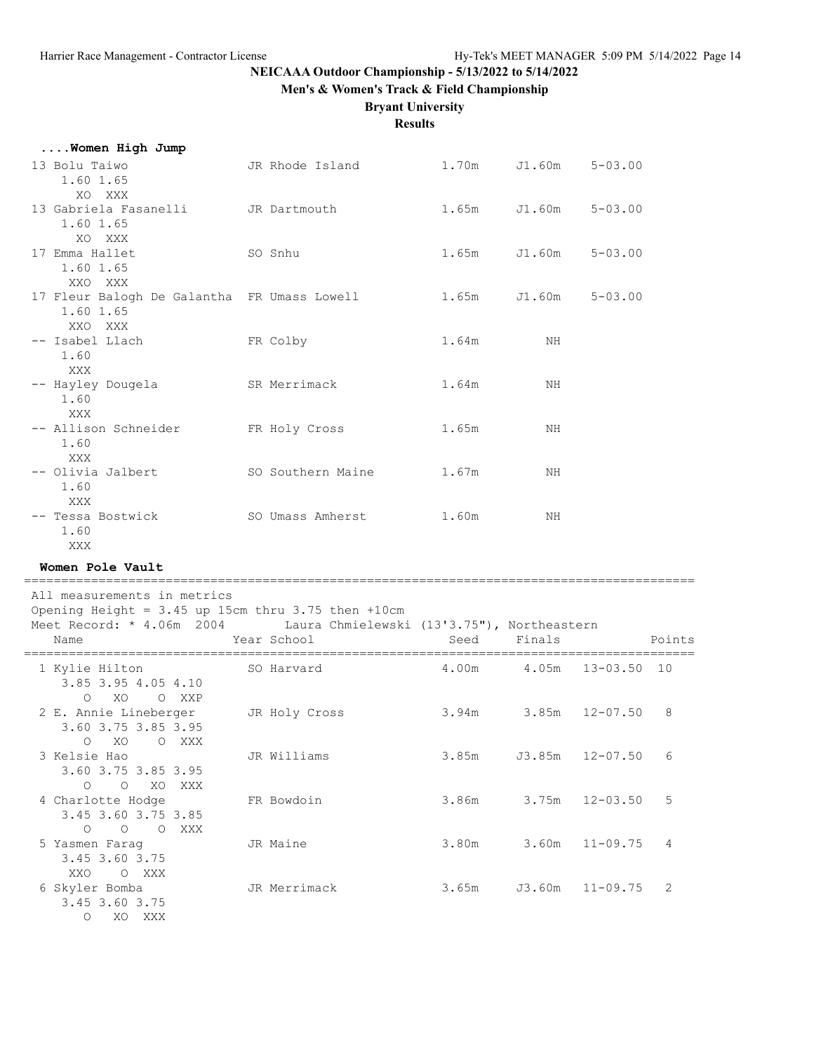**Men's & Women's Track & Field Championship**

#### **Bryant University**

**Results**

| Women High Jump                                                     |                   |       |        |             |
|---------------------------------------------------------------------|-------------------|-------|--------|-------------|
| 13 Bolu Taiwo<br>1.60 1.65                                          | JR Rhode Island   | 1.70m | J1.60m | $5 - 03.00$ |
| XO XXX<br>13 Gabriela Fasanelli<br>1.60 1.65                        | JR Dartmouth      | 1.65m | J1.60m | $5 - 03.00$ |
| XO XXX<br>17 Emma Hallet<br>1.60 1.65                               | SO Snhu           | 1.65m | J1.60m | $5 - 03.00$ |
| XXO XXX<br>17 Fleur Balogh De Galantha FR Umass Lowell<br>1.60 1.65 |                   | 1.65m | J1.60m | $5 - 03.00$ |
| XXO XXX<br>-- Isabel Llach<br>1.60                                  | FR Colby          | 1.64m | NH     |             |
| XXX<br>-- Hayley Dougela<br>1.60                                    | SR Merrimack      | 1.64m | ΝH     |             |
| XXX<br>-- Allison Schneider<br>1.60                                 | FR Holy Cross     | 1.65m | NH     |             |
| XXX<br>-- Olivia Jalbert<br>1.60                                    | SO Southern Maine | 1.67m | NH     |             |
| XXX<br>-- Tessa Bostwick<br>1.60                                    | SO Umass Amherst  | 1.60m | ΝH     |             |
| XXX X                                                               |                   |       |        |             |

**Women Pole Vault**

========================================================================================== All measurements in metrics Opening Height =  $3.45$  up 15cm thru  $3.75$  then  $+10$ cm Meet Record: \* 4.06m 2004 Laura Chmielewski (13'3.75"), Northeastern Name Tear School Seed Finals Points ========================================================================================== 1 Kylie Hilton SO Harvard 4.00m 4.05m 13-03.50 10 3.85 3.95 4.05 4.10 O XO O XXP 2 E. Annie Lineberger JR Holy Cross 3.94m 3.85m 12-07.50 8 3.60 3.75 3.85 3.95 O XO O XXX 3 Kelsie Hao JR Williams 3.85m J3.85m 12-07.50 6 3.60 3.75 3.85 3.95 O O XO XXX 4 Charlotte Hodge FR Bowdoin 3.86m 3.75m 12-03.50 5 3.45 3.60 3.75 3.85 O O O XXX<br>5 Yasmen Farag JR Maine  $3.80m$  3.60m 11-09.75 4 3.45 3.60 3.75 XXO O XXX 6 Skyler Bomba JR Merrimack 3.65m J3.60m 11-09.75 2 3.45 3.60 3.75 O XO XXX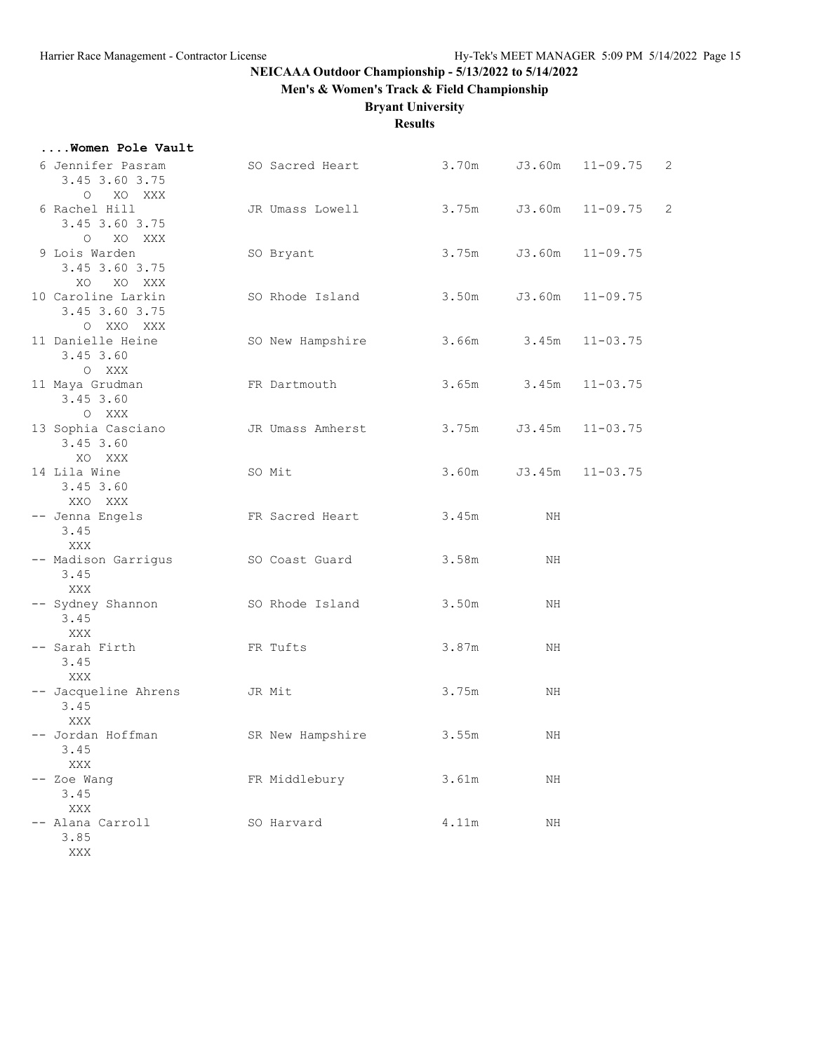**....Women Pole Vault**

# **NEICAAA Outdoor Championship - 5/13/2022 to 5/14/2022**

**Men's & Women's Track & Field Championship**

# **Bryant University**

**Results**

| 6 Jennifer Pasram<br>3.45 3.60 3.75<br>O XO XXX      | SO Sacred Heart  | 3.70m           | J3.60m       | $11 - 09.75$ | 2              |
|------------------------------------------------------|------------------|-----------------|--------------|--------------|----------------|
| 6 Rachel Hill<br>3.45 3.60 3.75<br>$\circ$<br>XO XXX | JR Umass Lowell  |                 | 3.75m J3.60m | $11 - 09.75$ | $\overline{c}$ |
| 9 Lois Warden<br>3.45 3.60 3.75<br>XO XO XXX         | SO Bryant        | 3.75m           | J3.60m       | $11 - 09.75$ |                |
| 10 Caroline Larkin<br>3.45 3.60 3.75<br>O XXO XXX    | SO Rhode Island  | 3.50m           | J3.60m       | $11 - 09.75$ |                |
| 11 Danielle Heine<br>3.45 3.60<br>O XXX              | SO New Hampshire | $3.66m$ $3.45m$ |              | $11 - 03.75$ |                |
| 11 Maya Grudman<br>3.45 3.60<br>O XXX                | FR Dartmouth     | 3.65m           | 3.45m        | $11 - 03.75$ |                |
| 13 Sophia Casciano<br>3.45 3.60<br>XO XXX            | JR Umass Amherst | 3.75m           | J3.45m       | $11 - 03.75$ |                |
| 14 Lila Wine<br>3.45 3.60<br>XXO XXX                 | SO Mit           | 3.60m           | J3.45m       | $11 - 03.75$ |                |
| -- Jenna Engels<br>3.45<br>XXX                       | FR Sacred Heart  | 3.45m           | NH           |              |                |
| -- Madison Garrigus<br>3.45<br>XXX                   | SO Coast Guard   | 3.58m           | ΝH           |              |                |
| -- Sydney Shannon<br>3.45<br>XXX                     | SO Rhode Island  | 3.50m           | NH           |              |                |
| -- Sarah Firth<br>3.45<br>XXX                        | FR Tufts         | 3.87m           | ΝH           |              |                |
| -- Jacqueline Ahrens<br>3.45<br>XXX                  | JR Mit           | 3.75m           | ΝH           |              |                |
| -- Jordan Hoffman<br>3.45<br>XXX                     | SR New Hampshire | 3.55m           | ΝH           |              |                |
| -- Zoe Wang<br>3.45<br>XXX                           | FR Middlebury    | 3.61m           | ΝH           |              |                |
| -- Alana Carroll<br>3.85<br>XXX                      | SO Harvard       | 4.11m           | ΝH           |              |                |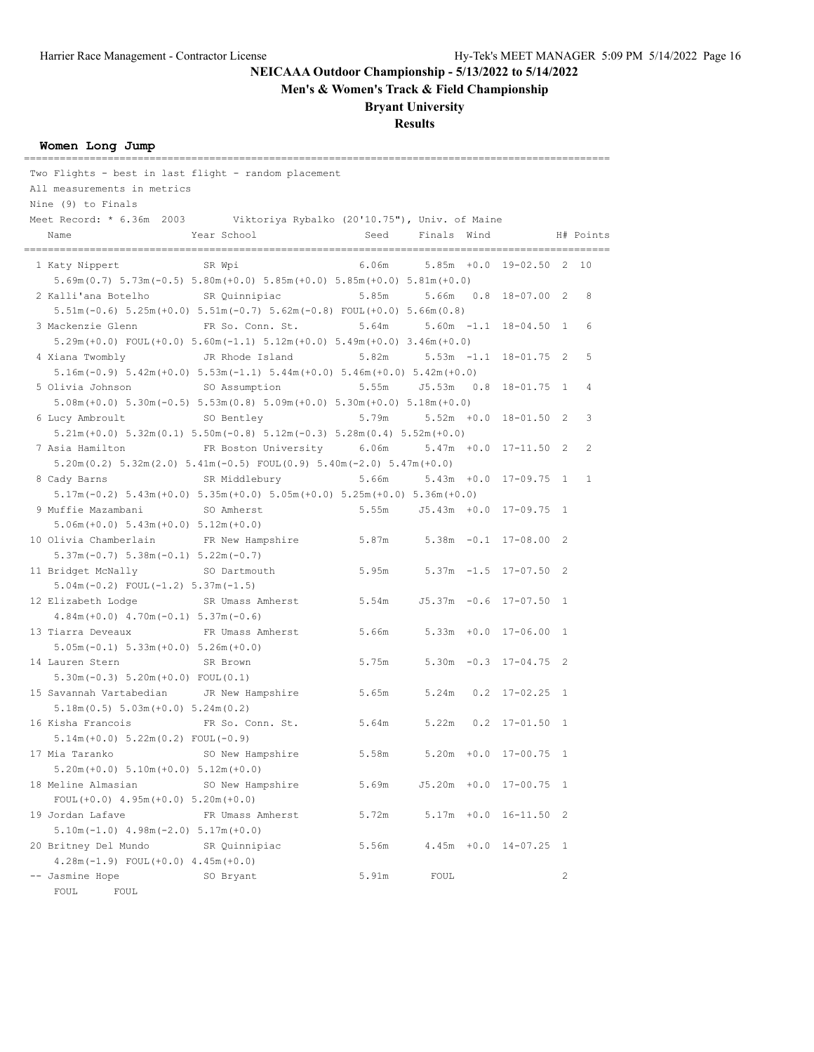**Men's & Women's Track & Field Championship**

## **Bryant University**

# **Results**

#### **Women Long Jump**

| Two Flights - best in last flight - random placement                    |                                                                                                     |                                     |                             |                                |                       |   |
|-------------------------------------------------------------------------|-----------------------------------------------------------------------------------------------------|-------------------------------------|-----------------------------|--------------------------------|-----------------------|---|
| All measurements in metrics                                             |                                                                                                     |                                     |                             |                                |                       |   |
| Nine (9) to Finals                                                      |                                                                                                     |                                     |                             |                                |                       |   |
| Meet Record: * 6.36m 2003 Viktoriya Rybalko (20'10.75"), Univ. of Maine |                                                                                                     |                                     |                             |                                |                       |   |
| Name                                                                    | Year School                                                                                         |                                     |                             | Seed Finals Wind H# Points     |                       |   |
|                                                                         |                                                                                                     |                                     | .========================== |                                |                       |   |
| 1 Katy Nippert SR Wpi                                                   | $5.69$ m (0.7) $5.73$ m (-0.5) $5.80$ m (+0.0) $5.85$ m (+0.0) $5.85$ m (+0.0) $5.81$ m (+0.0)      |                                     |                             | 6.06m 5.85m +0.0 19-02.50 2 10 |                       |   |
| 2 Kalli'ana Botelho SR Quinnipiac                                       |                                                                                                     | 5.85m                               |                             | 5.66m  0.8  18-07.00  2        |                       | 8 |
|                                                                         | $5.51m(-0.6)$ $5.25m(+0.0)$ $5.51m(-0.7)$ $5.62m(-0.8)$ FOUL $(+0.0)$ $5.66m(0.8)$                  |                                     |                             |                                |                       |   |
| 3 Mackenzie Glenn                                                       | FR So. Conn. St.                                                                                    | 5.64m                               |                             | $5.60m - 1.1$ 18-04.50 1       |                       | 6 |
|                                                                         | $5.29m (+0.0)$ FOUL $(+0.0)$ $5.60m (-1.1)$ $5.12m (+0.0)$ $5.49m (+0.0)$ $3.46m (+0.0)$            |                                     |                             |                                |                       |   |
| 4 Xiana Twombly                                                         | JR Rhode Island                                                                                     | 5.82m                               |                             | $5.53m -1.1$ $18-01.75$ 2      |                       | 5 |
|                                                                         | $5.16m(-0.9)$ $5.42m(+0.0)$ $5.53m(-1.1)$ $5.44m(+0.0)$ $5.46m(+0.0)$ $5.42m(+0.0)$                 |                                     |                             |                                |                       |   |
| 5 Olivia Johnson                                                        | SO Assumption                                                                                       | 5.55m                               |                             |                                |                       | 4 |
|                                                                         | $5.08$ m (+0.0) $5.30$ m (-0.5) $5.53$ m (0.8) $5.09$ m (+0.0) $5.30$ m (+0.0) $5.18$ m (+0.0)      |                                     |                             |                                |                       |   |
| 6 Lucy Ambroult                                                         | SO Bentley                                                                                          | 5.79m                               |                             | $5.52m + 0.0 18 - 01.50 2$     |                       | 3 |
|                                                                         | $5.21m (+0.0)$ $5.32m (0.1)$ $5.50m (-0.8)$ $5.12m (-0.3)$ $5.28m (0.4)$ $5.52m (+0.0)$             |                                     |                             |                                |                       |   |
| 7 Asia Hamilton                                                         | FR Boston University 6.06m                                                                          |                                     |                             | $5.47m + 0.0 17-11.50 2$       |                       | 2 |
|                                                                         | $5.20$ m $(0.2)$ $5.32$ m $(2.0)$ $5.41$ m $(-0.5)$ $FOUL(0.9)$ $5.40$ m $(-2.0)$ $5.47$ m $(+0.0)$ |                                     |                             |                                |                       |   |
| 8 Cady Barns                                                            | SR Middlebury                                                                                       | 5.66m                               |                             | 5.43m +0.0 17-09.75 1          |                       | 1 |
|                                                                         | $5.17m(-0.2)$ $5.43m(+0.0)$ $5.35m(+0.0)$ $5.05m(+0.0)$ $5.25m(+0.0)$ $5.36m(+0.0)$                 |                                     |                             |                                |                       |   |
| 9 Muffie Mazambani                                                      | SO Amherst                                                                                          |                                     |                             | 5.55m J5.43m +0.0 17-09.75 1   |                       |   |
| $5.06m (+0.0) 5.43m (+0.0) 5.12m (+0.0)$                                |                                                                                                     |                                     |                             |                                |                       |   |
| 10 Olivia Chamberlain FR New Hampshire                                  |                                                                                                     | $5.87m$ $5.38m$ $-0.1$ $17-08.00$ 2 |                             |                                |                       |   |
| $5.37m(-0.7) 5.38m(-0.1) 5.22m(-0.7)$                                   |                                                                                                     |                                     |                             |                                |                       |   |
| 11 Bridget McNally                                                      | SO Dartmouth                                                                                        | 5.95m                               |                             | $5.37m - 1.5$ 17-07.50 2       |                       |   |
| $5.04m(-0.2)$ FOUL $(-1.2)$ $5.37m(-1.5)$                               |                                                                                                     |                                     |                             |                                |                       |   |
| 12 Elizabeth Lodge                                                      | SR Umass Amherst 5.54m                                                                              |                                     |                             | J5.37m -0.6 17-07.50 1         |                       |   |
| $4.84m (+0.0)$ $4.70m (-0.1)$ $5.37m (-0.6)$                            |                                                                                                     |                                     |                             |                                |                       |   |
| 13 Tiarra Deveaux                                                       | FR Umass Amherst                                                                                    | 5.66m                               |                             | $5.33m +0.0 17-06.00 1$        |                       |   |
| $5.05m(-0.1) 5.33m(+0.0) 5.26m(+0.0)$                                   |                                                                                                     |                                     |                             |                                |                       |   |
| 14 Lauren Stern                                                         | SR Brown                                                                                            | 5.75m                               |                             | $5.30m -0.3$ 17-04.75 2        |                       |   |
| $5.30m(-0.3) 5.20m(+0.0) FOUL(0.1)$                                     |                                                                                                     |                                     |                             |                                |                       |   |
| 15 Savannah Vartabedian JR New Hampshire                                |                                                                                                     | 5.65m 5.24m 0.2 17-02.25 1          |                             |                                |                       |   |
| $5.18m(0.5) 5.03m(+0.0) 5.24m(0.2)$                                     |                                                                                                     |                                     |                             |                                |                       |   |
| 16 Kisha Francois                                                       | FR So. Conn. St.                                                                                    | 5.64m                               |                             | 5.22m  0.2  17-01.50  1        |                       |   |
| $5.14m (+0.0) 5.22m (0.2) F0UL (-0.9)$                                  |                                                                                                     |                                     |                             |                                |                       |   |
| 17 Mia Taranko                                                          | SO New Hampshire                                                                                    | 5.58m                               |                             | 5.20m +0.0 17-00.75 1          |                       |   |
| $5.20m (+0.0) 5.10m (+0.0) 5.12m (+0.0)$                                |                                                                                                     |                                     |                             |                                |                       |   |
| 18 Meline Almasian                                                      | SO New Hampshire                                                                                    | 5.69m                               |                             | J5.20m +0.0 17-00.75 1         |                       |   |
| FOUL $(+0.0)$ 4.95m $(+0.0)$ 5.20m $(+0.0)$                             |                                                                                                     |                                     |                             |                                |                       |   |
| 19 Jordan Lafave                                                        | FR Umass Amherst                                                                                    | 5.72m                               |                             | 5.17m +0.0 16-11.50 2          |                       |   |
| $5.10m(-1.0)$ 4.98m $(-2.0)$ 5.17m $(+0.0)$                             |                                                                                                     |                                     |                             |                                |                       |   |
| 20 Britney Del Mundo                                                    | SR Quinnipiac                                                                                       | 5.56m                               |                             | 4.45m +0.0 14-07.25 1          |                       |   |
| $4.28m(-1.9)$ FOUL $(+0.0)$ $4.45m(+0.0)$                               |                                                                                                     |                                     |                             |                                |                       |   |
| -- Jasmine Hope                                                         | SO Bryant                                                                                           | 5.91m                               | FOUL                        |                                | $\mathbf{2}^{\prime}$ |   |
| FOUL<br>FOUL                                                            |                                                                                                     |                                     |                             |                                |                       |   |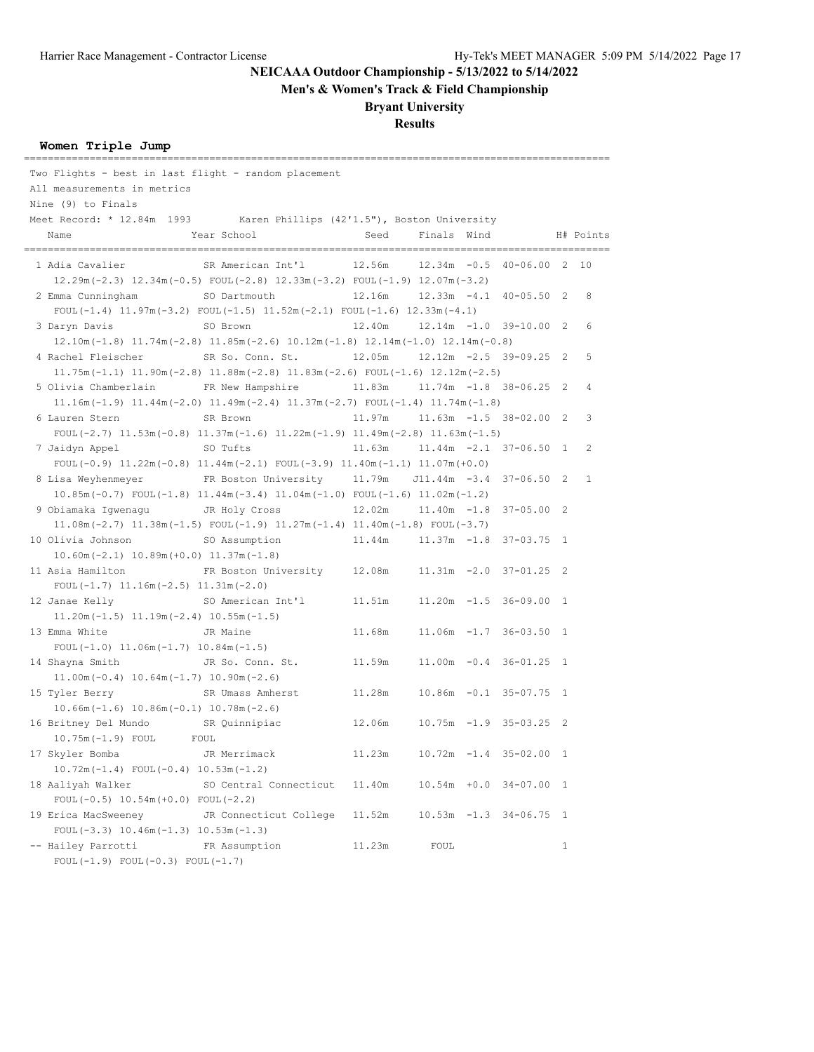**Men's & Women's Track & Field Championship**

## **Bryant University**

## **Results**

## **Women Triple Jump**

| Two Flights - best in last flight - random placement                   |                                                                                                                                     |                                       |             |  |                             |              |           |
|------------------------------------------------------------------------|-------------------------------------------------------------------------------------------------------------------------------------|---------------------------------------|-------------|--|-----------------------------|--------------|-----------|
| All measurements in metrics                                            |                                                                                                                                     |                                       |             |  |                             |              |           |
| Nine (9) to Finals                                                     |                                                                                                                                     |                                       |             |  |                             |              |           |
| Meet Record: * 12.84m 1993 Karen Phillips (42'1.5"), Boston University |                                                                                                                                     |                                       |             |  |                             |              |           |
| Name                                                                   | Year School                                                                                                                         | Seed                                  | Finals Wind |  |                             |              | H# Points |
| 1 Adia Cavalier                                                        | SR American Int'l                                                                                                                   | 12.56m                                |             |  | $12.34m -0.5 40-06.00 2 10$ |              |           |
|                                                                        | $12.29m(-2.3)$ $12.34m(-0.5)$ FOUL $(-2.8)$ $12.33m(-3.2)$ FOUL $(-1.9)$ $12.07m(-3.2)$                                             |                                       |             |  |                             |              |           |
| 2 Emma Cunningham                                                      | SO Dartmouth                                                                                                                        | 12.16m                                |             |  | 12.33m -4.1 40-05.50 2      |              | 8         |
|                                                                        | FOUL(-1.4) $11.97m(-3.2)$ FOUL(-1.5) $11.52m(-2.1)$ FOUL(-1.6) $12.33m(-4.1)$                                                       |                                       |             |  |                             |              |           |
| 3 Daryn Davis                                                          | SO Brown                                                                                                                            | 12.40m                                |             |  | $12.14m -1.0 39-10.00 2$    |              | 6         |
|                                                                        | $12.10\text{m}(-1.8)$ $11.74\text{m}(-2.8)$ $11.85\text{m}(-2.6)$ $10.12\text{m}(-1.8)$ $12.14\text{m}(-1.0)$ $12.14\text{m}(-0.8)$ |                                       |             |  |                             |              |           |
| 4 Rachel Fleischer                                                     | SR So. Conn. St.                                                                                                                    | 12.05m                                |             |  | 12.12m -2.5 39-09.25 2      |              | 5         |
|                                                                        | $11.75m(-1.1)$ $11.90m(-2.8)$ $11.88m(-2.8)$ $11.83m(-2.6)$ $FOUL(-1.6)$ $12.12m(-2.5)$                                             |                                       |             |  |                             |              |           |
| 5 Olivia Chamberlain                                                   | FR New Hampshire                                                                                                                    | 11.83m                                |             |  | 11.74m -1.8 38-06.25 2      |              | 4         |
|                                                                        | $11.16m(-1.9)$ $11.44m(-2.0)$ $11.49m(-2.4)$ $11.37m(-2.7)$ $FOUT(-1.4)$ $11.74m(-1.8)$                                             |                                       |             |  |                             |              |           |
| 6 Lauren Stern                                                         | SR Brown                                                                                                                            | 11.97m                                |             |  | 11.63m -1.5 38-02.00 2      |              | 3         |
|                                                                        | FOUL $(-2.7)$ 11.53m $(-0.8)$ 11.37m $(-1.6)$ 11.22m $(-1.9)$ 11.49m $(-2.8)$ 11.63m $(-1.5)$                                       |                                       |             |  |                             |              |           |
| 7 Jaidyn Appel                                                         | SO Tufts                                                                                                                            | 11.63m                                |             |  | $11.44m -2.1$ 37-06.50 1    |              | 2         |
|                                                                        | FOUL $(-0.9)$ 11.22m $(-0.8)$ 11.44m $(-2.1)$ FOUL $(-3.9)$ 11.40m $(-1.1)$ 11.07m $(+0.0)$                                         |                                       |             |  |                             |              |           |
| 8 Lisa Weyhenmeyer                                                     | FR Boston University 11.79m J11.44m -3.4 37-06.50 2                                                                                 |                                       |             |  |                             |              | 1         |
|                                                                        | $10.85m(-0.7)$ FOUL $(-1.8)$ $11.44m(-3.4)$ $11.04m(-1.0)$ FOUL $(-1.6)$ $11.02m(-1.2)$                                             |                                       |             |  |                             |              |           |
| 9 Obiamaka Iqwenaqu                                                    | JR Holy Cross                                                                                                                       | $12.02m$ $11.40m$ $-1.8$ $37-05.00$ 2 |             |  |                             |              |           |
|                                                                        | $11.08m(-2.7)$ $11.38m(-1.5)$ $FOUT(-1.9)$ $11.27m(-1.4)$ $11.40m(-1.8)$ $FOUT(-3.7)$                                               |                                       |             |  |                             |              |           |
| 10 Olivia Johnson                                                      | SO Assumption                                                                                                                       | 11.44m   11.37m -1.8   37-03.75   1   |             |  |                             |              |           |
| $10.60m(-2.1)$ $10.89m(+0.0)$ $11.37m(-1.8)$                           |                                                                                                                                     |                                       |             |  |                             |              |           |
| 11 Asia Hamilton                                                       | FR Boston University                                                                                                                | 12.08m                                |             |  | $11.31m -2.0 37-01.25 2$    |              |           |
| FOUL $(-1.7)$ 11.16m $(-2.5)$ 11.31m $(-2.0)$                          |                                                                                                                                     |                                       |             |  |                             |              |           |
| 12 Janae Kelly                                                         | SO American Int'l                                                                                                                   | 11.51m                                |             |  | $11.20m - 1.5$ 36-09.00 1   |              |           |
| $11.20m(-1.5)$ $11.19m(-2.4)$ $10.55m(-1.5)$                           |                                                                                                                                     |                                       |             |  |                             |              |           |
| 13 Emma White                                                          | JR Maine                                                                                                                            | 11.68m                                |             |  | $11.06m - 1.7 36 - 03.50 1$ |              |           |
| FOUL $(-1.0)$ 11.06m $(-1.7)$ 10.84m $(-1.5)$                          |                                                                                                                                     |                                       |             |  |                             |              |           |
| 14 Shayna Smith                                                        | JR So. Conn. St.                                                                                                                    | 11.59m                                |             |  | $11.00m -0.4 36-01.25 1$    |              |           |
| $11.00m(-0.4)$ $10.64m(-1.7)$ $10.90m(-2.6)$                           |                                                                                                                                     |                                       |             |  |                             |              |           |
| 15 Tyler Berry                                                         | SR Umass Amherst                                                                                                                    | 11.28m                                |             |  | $10.86m - 0.1$ 35-07.75 1   |              |           |
| $10.66m(-1.6) 10.86m(-0.1) 10.78m(-2.6)$                               |                                                                                                                                     |                                       |             |  |                             |              |           |
| 16 Britney Del Mundo SR Quinnipiac                                     |                                                                                                                                     | 12.06m                                |             |  | $10.75m - 1.9$ 35-03.25 2   |              |           |
| FOUL<br>10.75m (-1.9) FOUL                                             |                                                                                                                                     |                                       |             |  |                             |              |           |
| 17 Skyler Bomba                                                        | JR Merrimack                                                                                                                        | 11.23m                                |             |  | $10.72m - 1.4$ 35-02.00 1   |              |           |
| $10.72m(-1.4)$ FOUL $(-0.4)$ 10.53m $(-1.2)$                           |                                                                                                                                     |                                       |             |  |                             |              |           |
| 18 Aaliyah Walker                                                      | SO Central Connecticut                                                                                                              | 11.40m                                |             |  | 10.54m +0.0 34-07.00 1      |              |           |
| FOUL $(-0.5)$ 10.54m $(+0.0)$ FOUL $(-2.2)$                            |                                                                                                                                     |                                       |             |  |                             |              |           |
| 19 Erica MacSweeney                                                    | JR Connecticut College                                                                                                              | 11.52m                                |             |  | $10.53m -1.3$ 34-06.75 1    |              |           |
| FOUL $(-3.3)$ 10.46m $(-1.3)$ 10.53m $(-1.3)$                          |                                                                                                                                     |                                       |             |  |                             |              |           |
| -- Hailey Parrotti                                                     | FR Assumption                                                                                                                       | 11.23m                                | FOUL        |  |                             | $\mathbf{1}$ |           |
| FOUL $(-1.9)$ FOUL $(-0.3)$ FOUL $(-1.7)$                              |                                                                                                                                     |                                       |             |  |                             |              |           |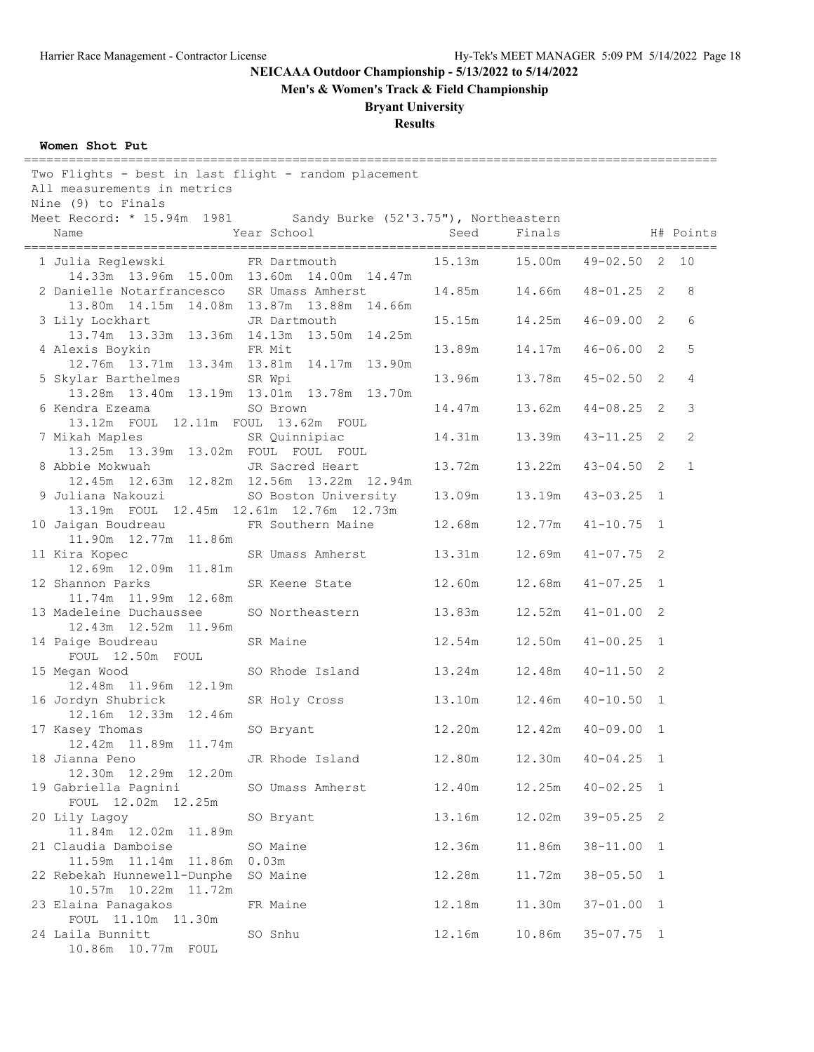**Men's & Women's Track & Field Championship**

## **Bryant University**

# **Results**

### **Women Shot Put**

| Two Flights - best in last flight - random placement<br>All measurements in metrics<br>Nine (9) to Finals |                      |        |                 |                             |                |
|-----------------------------------------------------------------------------------------------------------|----------------------|--------|-----------------|-----------------------------|----------------|
| Meet Record: * 15.94m 1981 Sandy Burke (52'3.75"), Northeastern<br>Name                                   | Year School          | Seed   | Finals          |                             | H# Points      |
|                                                                                                           |                      |        |                 |                             |                |
| 1 Julia Reglewski                                                                                         | FR Dartmouth         |        | 15.13m   15.00m | 49-02.50 2 10               |                |
| 14.33m 13.96m 15.00m 13.60m 14.00m 14.47m                                                                 |                      |        |                 |                             |                |
| 2 Danielle Notarfrancesco SR Umass Amherst                                                                |                      |        |                 | $48 - 01.25$ 2              | 8              |
| 13.80m  14.15m  14.08m  13.87m  13.88m  14.66m                                                            |                      |        |                 |                             |                |
| 3 Lily Lockhart<br>13.74m  13.33m  13.36m  14.13m  13.50m  14.25m                                         | JR Dartmouth         | 15.15m | 14.25m          | $46 - 09.00$ 2              | 6              |
| 4 Alexis Boykin                                                                                           | FR Mit               | 13.89m | 14.17m          | $46 - 06.00$ 2              | 5              |
| 12.76m  13.71m  13.34m  13.81m  14.17m  13.90m                                                            |                      |        |                 |                             |                |
| 5 Skylar Barthelmes SR Wpi                                                                                |                      | 13.96m | 13.78m          | $45 - 02.50$ 2              | $\overline{4}$ |
| 13.28m  13.40m  13.19m  13.01m  13.78m  13.70m                                                            |                      |        |                 |                             |                |
| 6 Kendra Ezeama                                                                                           | SO Brown             | 14.47m | 13.62m          | $44 - 08.25$ 2              | 3              |
| 13.12m FOUL 12.11m FOUL 13.62m FOUL                                                                       |                      |        |                 |                             |                |
| 7 Mikah Maples                                                                                            | SR Quinnipiac        | 14.31m |                 | 13.39m  43-11.25  2         | $\overline{2}$ |
| 13.25m  13.39m  13.02m  FOUL  FOUL  FOUL                                                                  |                      |        |                 |                             |                |
| 8 Abbie Mokwuah                                                                                           | JR Sacred Heart      | 13.72m | 13.22m          | $43 - 04.50$ 2              | $\mathbf{1}$   |
| 12.45m  12.63m  12.82m  12.56m  13.22m  12.94m                                                            |                      |        |                 |                             |                |
| 9 Juliana Nakouzi                                                                                         | SO Boston University | 13.09m | 13.19m          | $43 - 03.25$ 1              |                |
| 13.19m FOUL 12.45m 12.61m 12.76m 12.73m                                                                   |                      |        |                 |                             |                |
| 10 Jaigan Boudreau                                                                                        | FR Southern Maine    | 12.68m | 12.77m          | $41 - 10.75$ 1              |                |
| 11.90m  12.77m  11.86m                                                                                    |                      |        |                 |                             |                |
| 11 Kira Kopec                                                                                             | SR Umass Amherst     | 13.31m | 12.69m          | $41 - 07.75$ 2              |                |
| 12.69m  12.09m  11.81m                                                                                    |                      |        |                 |                             |                |
| 12 Shannon Parks                                                                                          | SR Keene State       | 12.60m |                 | $12.68m$ $41-07.25$ 1       |                |
| 11.74m  11.99m  12.68m                                                                                    |                      |        |                 |                             |                |
| 13 Madeleine Duchaussee                                                                                   | SO Northeastern      | 13.83m | 12.52m          | $41 - 01.00$ 2              |                |
| 12.43m  12.52m  11.96m                                                                                    |                      |        |                 |                             |                |
| 14 Paige Boudreau                                                                                         | SR Maine             | 12.54m | 12.50m          | $41 - 00.25$ 1              |                |
| FOUL 12.50m FOUL                                                                                          |                      |        |                 |                             |                |
| 15 Megan Wood                                                                                             | SO Rhode Island      | 13.24m | 12.48m          | $40 - 11.50$ 2              |                |
| 12.48m  11.96m  12.19m                                                                                    |                      |        |                 |                             |                |
| 16 Jordyn Shubrick                                                                                        | SR Holy Cross        | 13.10m | 12.46m          | $40 - 10.50$ 1              |                |
| 12.16m  12.33m  12.46m                                                                                    |                      |        |                 |                             |                |
| 17 Kasey Thomas                                                                                           | SO Bryant            |        |                 | 12.20m  12.42m  40-09.00  1 |                |
| 12.42m  11.89m  11.74m                                                                                    |                      |        |                 |                             |                |
| 18 Jianna Peno                                                                                            | JR Rhode Island      | 12.80m | 12.30m          | $40 - 04.25$ 1              |                |
| 12.30m  12.29m  12.20m                                                                                    |                      |        |                 |                             |                |
| 19 Gabriella Pagnini                                                                                      | SO Umass Amherst     | 12.40m | 12.25m          | $40 - 02.25$ 1              |                |
| FOUL 12.02m 12.25m                                                                                        |                      |        |                 |                             |                |
| 20 Lily Lagoy                                                                                             | SO Bryant            | 13.16m | 12.02m          | $39 - 05.25$ 2              |                |
| 11.84m  12.02m  11.89m                                                                                    |                      |        |                 |                             |                |
| 21 Claudia Damboise                                                                                       | SO Maine             | 12.36m | 11.86m          | $38 - 11.00$ 1              |                |
| 11.59m  11.14m  11.86m                                                                                    | 0.03m                |        |                 |                             |                |
| 22 Rebekah Hunnewell-Dunphe                                                                               | SO Maine             | 12.28m | 11.72m          | $38 - 05.50$ 1              |                |
| 10.57m  10.22m  11.72m                                                                                    |                      |        |                 |                             |                |
| 23 Elaina Panagakos                                                                                       | FR Maine             | 12.18m | 11.30m          | $37 - 01.00$ 1              |                |
| FOUL 11.10m 11.30m                                                                                        |                      |        |                 |                             |                |
| 24 Laila Bunnitt                                                                                          | SO Snhu              | 12.16m | 10.86m          | $35 - 07.75$ 1              |                |
| 10.86m  10.77m  FOUL                                                                                      |                      |        |                 |                             |                |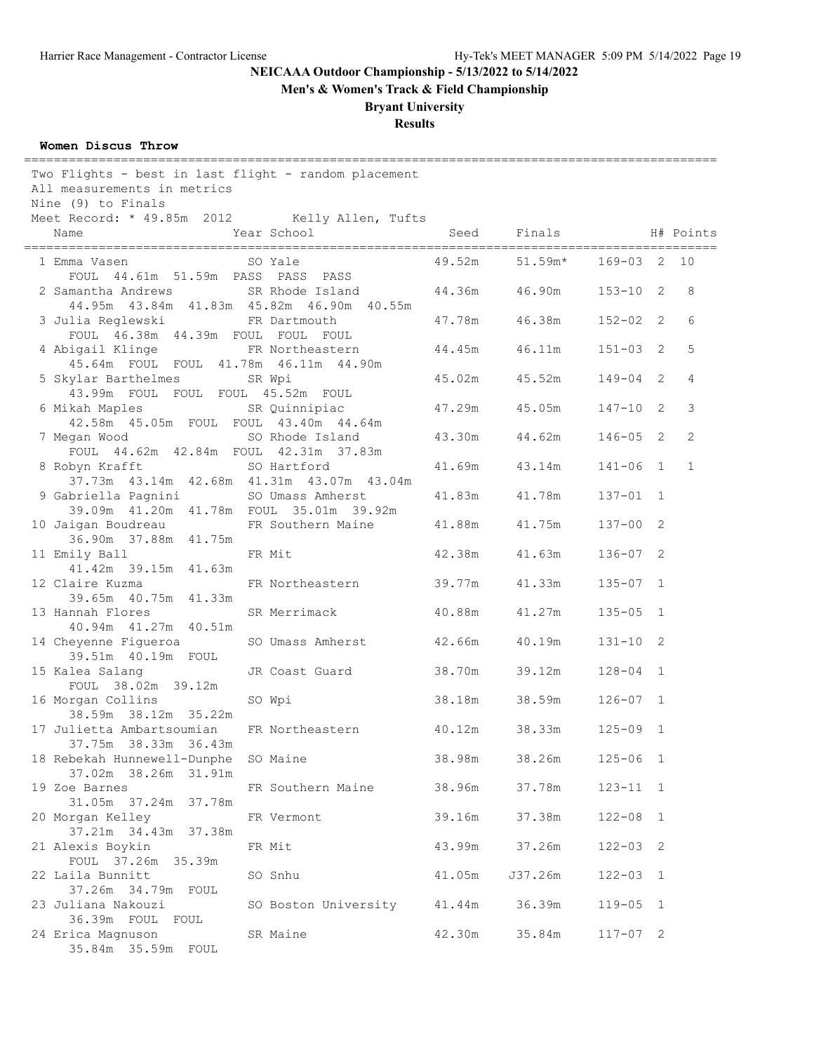**Men's & Women's Track & Field Championship**

# **Bryant University**

# **Results**

#### **Women Discus Throw**

| Two Flights - best in last flight - random placement<br>All measurements in metrics<br>Nine (9) to Finals |                      |        |               |              |                |
|-----------------------------------------------------------------------------------------------------------|----------------------|--------|---------------|--------------|----------------|
| Meet Record: * 49.85m 2012 Kelly Allen, Tufts<br>Name                                                     | Year School          |        | Seed Finals   |              | H# Points      |
| 1 Emma Vasen<br>FOUL 44.61m 51.59m PASS PASS PASS                                                         | SO Yale              | 49.52m | $51.59m*$     | 169-03 2     | 10             |
| 2 Samantha Andrews<br>44.95m 43.84m 41.83m 45.82m 46.90m 40.55m                                           | SR Rhode Island      |        | 44.36m 46.90m | $153 - 10$ 2 | 8              |
| 3 Julia Reglewski<br>FOUL 46.38m 44.39m FOUL FOUL FOUL                                                    | FR Dartmouth         | 47.78m | 46.38m        | $152 - 02$ 2 | 6              |
| 4 Abigail Klinge<br>45.64m FOUL FOUL 41.78m 46.11m 44.90m                                                 | FR Northeastern      | 44.45m | 46.11m        | $151 - 03$ 2 | 5              |
| 5 Skylar Barthelmes<br>43.99m FOUL FOUL FOUL 45.52m FOUL                                                  | SR Wpi               | 45.02m | 45.52m        | $149 - 04$ 2 | $\overline{4}$ |
| 6 Mikah Maples<br>42.58m  45.05m  FOUL  FOUL  43.40m  44.64m                                              | SR Quinnipiac        |        | 47.29m 45.05m | $147 - 10$ 2 | 3              |
| 7 Megan Wood<br>FOUL 44.62m 42.84m FOUL 42.31m 37.83m                                                     | SO Rhode Island      |        | 43.30m 44.62m | $146 - 05$ 2 | $\overline{2}$ |
| 8 Robyn Krafft<br>37.73m  43.14m  42.68m  41.31m  43.07m  43.04m                                          | SO Hartford          | 41.69m | 43.14m        | $141 - 06$ 1 | $\mathbf{1}$   |
| 9 Gabriella Pagnini<br>39.09m  41.20m  41.78m  FOUL  35.01m  39.92m                                       | SO Umass Amherst     |        | 41.83m 41.78m | $137 - 01$ 1 |                |
| 10 Jaigan Boudreau<br>36.90m 37.88m 41.75m                                                                | FR Southern Maine    | 41.88m | 41.75m        | $137 - 00$ 2 |                |
| 11 Emily Ball<br>41.42m 39.15m 41.63m                                                                     | FR Mit               | 42.38m | 41.63m        | $136 - 07$ 2 |                |
| 12 Claire Kuzma<br>39.65m 40.75m 41.33m                                                                   | FR Northeastern      | 39.77m | 41.33m        | $135 - 07$ 1 |                |
| 13 Hannah Flores<br>40.94m  41.27m  40.51m                                                                | SR Merrimack         | 40.88m | 41.27m        | $135 - 05$ 1 |                |
| 14 Cheyenne Figueroa<br>39.51m  40.19m  FOUL                                                              | SO Umass Amherst     | 42.66m | 40.19m        | $131 - 10$ 2 |                |
| 15 Kalea Salang<br>FOUL 38.02m 39.12m                                                                     | JR Coast Guard       | 38.70m | 39.12m        | $128 - 04$ 1 |                |
| 16 Morgan Collins<br>38.59m 38.12m 35.22m                                                                 | SO Wpi               | 38.18m | 38.59m        | $126 - 07$ 1 |                |
| 17 Julietta Ambartsoumian<br>37.75m 38.33m 36.43m                                                         | FR Northeastern      | 40.12m | 38.33m        | $125 - 09$ 1 |                |
| 18 Rebekah Hunnewell-Dunphe<br>37.02m 38.26m 31.91m                                                       | SO Maine             | 38.98m | 38.26m        | $125 - 06$ 1 |                |
| 19 Zoe Barnes<br>31.05m 37.24m 37.78m                                                                     | FR Southern Maine    | 38.96m | 37.78m        | $123 - 11$ 1 |                |
| 20 Morgan Kelley                                                                                          | FR Vermont           | 39.16m | 37.38m        | $122 - 08$ 1 |                |
| 21 Alexis Boykin<br>FOUL 37.26m 35.39m                                                                    | FR Mit               | 43.99m | 37.26m        | $122 - 03$ 2 |                |
| 22 Laila Bunnitt                                                                                          | SO Snhu              | 41.05m | J37.26m       | $122 - 03$ 1 |                |
| 23 Juliana Nakouzi<br>36.39m FOUL FOUL                                                                    | SO Boston University | 41.44m | 36.39m        | $119 - 05$ 1 |                |
| 24 Erica Magnuson<br>35.84m 35.59m FOUL                                                                   | SR Maine             | 42.30m | 35.84m        | $117 - 07$ 2 |                |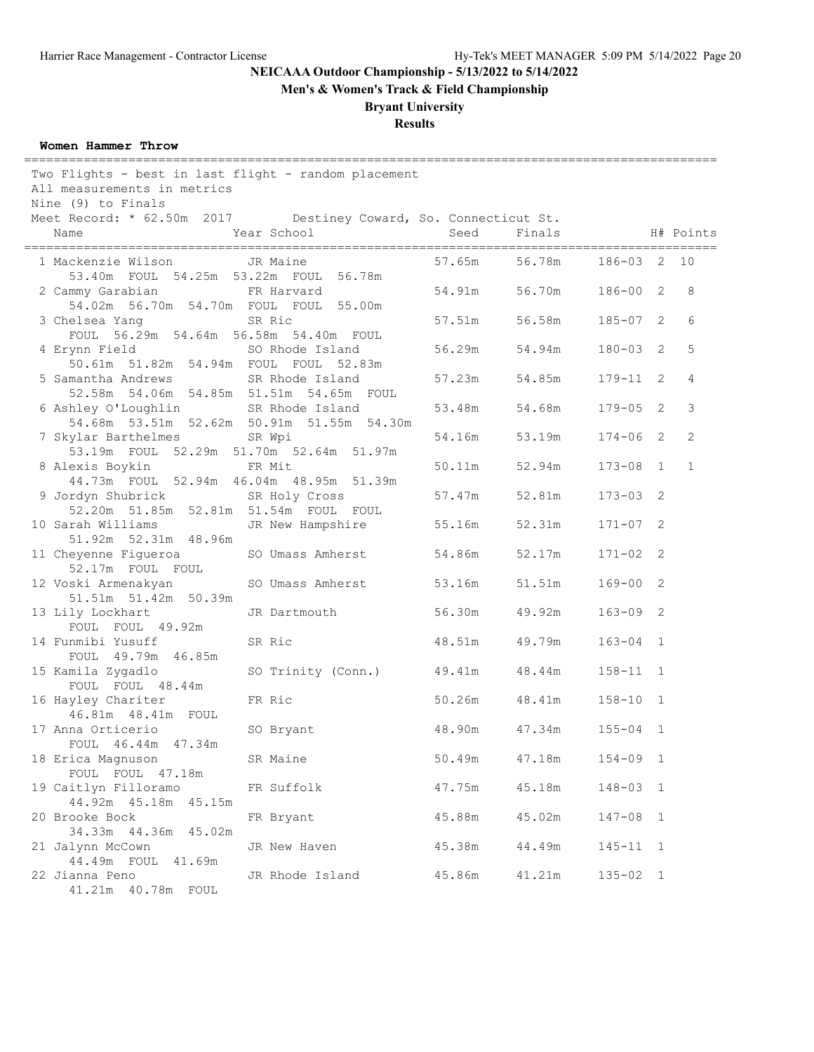**Men's & Women's Track & Field Championship**

## **Bryant University**

# **Results**

#### **Women Hammer Throw**

| Two Flights - best in last flight - random placement<br>All measurements in metrics<br>Nine (9) to Finals |                                                              |        |               |              |              |
|-----------------------------------------------------------------------------------------------------------|--------------------------------------------------------------|--------|---------------|--------------|--------------|
| Meet Record: * 62.50m 2017 Destiney Coward, So. Connecticut St.<br>Name                                   | Year School                                                  | Seed   | Finals        |              | H# Points    |
| 1 Mackenzie Wilson<br>53.40m FOUL 54.25m 53.22m FOUL 56.78m                                               | JR Maine                                                     | 57.65m | 56.78m        | 186-03 2 10  |              |
| 2 Cammy Garabian<br>54.02m 56.70m 54.70m FOUL FOUL 55.00m                                                 | FR Harvard                                                   | 54.91m | 56.70m        | $186 - 00$ 2 | 8            |
| 3 Chelsea Yang<br>FOUL 56.29m 54.64m 56.58m 54.40m FOUL                                                   | SR Ric                                                       | 57.51m | 56.58m        | $185 - 07$ 2 | 6            |
| 4 Erynn Field SO Rhode Island<br>50.61m 51.82m 54.94m FOUL FOUL 52.83m                                    |                                                              | 56.29m | 54.94m        | $180 - 03$ 2 | 5            |
| 5 Samantha Andrews<br>52.58m 54.06m 54.85m 51.51m 54.65m FOUL                                             | SR Rhode Island                                              | 57.23m | 54.85m        | $179 - 11$ 2 | 4            |
| 6 Ashley O'Loughlin                                                                                       | SR Rhode Island<br>54.68m 53.51m 52.62m 50.91m 51.55m 54.30m |        | 53.48m 54.68m | $179 - 05$ 2 | 3            |
| 7 Skylar Barthelmes<br>53.19m FOUL 52.29m 51.70m 52.64m 51.97m                                            | SR Wpi                                                       | 54.16m | 53.19m        | $174 - 06$ 2 | 2            |
| 8 Alexis Boykin<br>44.73m FOUL 52.94m 46.04m 48.95m 51.39m                                                | FR Mit                                                       | 50.11m | 52.94m        | $173 - 08$ 1 | $\mathbf{1}$ |
| 9 Jordyn Shubrick<br>52.20m 51.85m 52.81m 51.54m FOUL FOUL                                                | SR Holy Cross                                                | 57.47m | 52.81m        | $173 - 03$ 2 |              |
| 10 Sarah Williams<br>51.92m 52.31m 48.96m                                                                 | JR New Hampshire                                             | 55.16m | 52.31m        | $171 - 07$ 2 |              |
| 11 Cheyenne Figueroa<br>52.17m FOUL FOUL                                                                  | SO Umass Amherst                                             | 54.86m | 52.17m        | $171 - 02$ 2 |              |
| 12 Voski Armenakyan<br>51.51m 51.42m 50.39m                                                               | SO Umass Amherst                                             | 53.16m | 51.51m        | $169 - 00$ 2 |              |
| 13 Lily Lockhart<br>FOUL FOUL 49.92m                                                                      | JR Dartmouth                                                 | 56.30m | 49.92m        | $163 - 09$ 2 |              |
| 14 Funmibi Yusuff<br>FOUL 49.79m 46.85m                                                                   | SR Ric                                                       | 48.51m | 49.79m        | $163 - 04$ 1 |              |
| 15 Kamila Zygadlo<br>FOUL FOUL 48.44m                                                                     | SO Trinity (Conn.)                                           | 49.41m | 48.44m        | $158 - 11$ 1 |              |
| 16 Hayley Chariter<br>46.81m  48.41m  FOUL                                                                | FR Ric                                                       | 50.26m | 48.41m        | $158 - 10$ 1 |              |
| 17 Anna Orticerio<br>FOUL 46.44m 47.34m                                                                   | SO Bryant                                                    | 48.90m | 47.34m        | $155 - 04$ 1 |              |
| 18 Erica Magnuson<br>FOUL FOUL 47.18m                                                                     | SR Maine                                                     | 50.49m | 47.18m        | $154 - 09$ 1 |              |
| 19 Caitlyn Filloramo<br>44.92m  45.18m  45.15m                                                            | FR Suffolk                                                   | 47.75m | 45.18m        | 148-03 1     |              |
| 20 Brooke Bock<br>34.33m  44.36m  45.02m                                                                  | FR Bryant                                                    | 45.88m | 45.02m        | $147 - 08$ 1 |              |
| 21 Jalynn McCown<br>44.49m FOUL 41.69m                                                                    | JR New Haven                                                 | 45.38m | 44.49m        | $145 - 11$ 1 |              |
| 22 Jianna Peno                                                                                            | JR Rhode Island                                              | 45.86m | 41.21m        | $135 - 02$ 1 |              |

41.21m 40.78m FOUL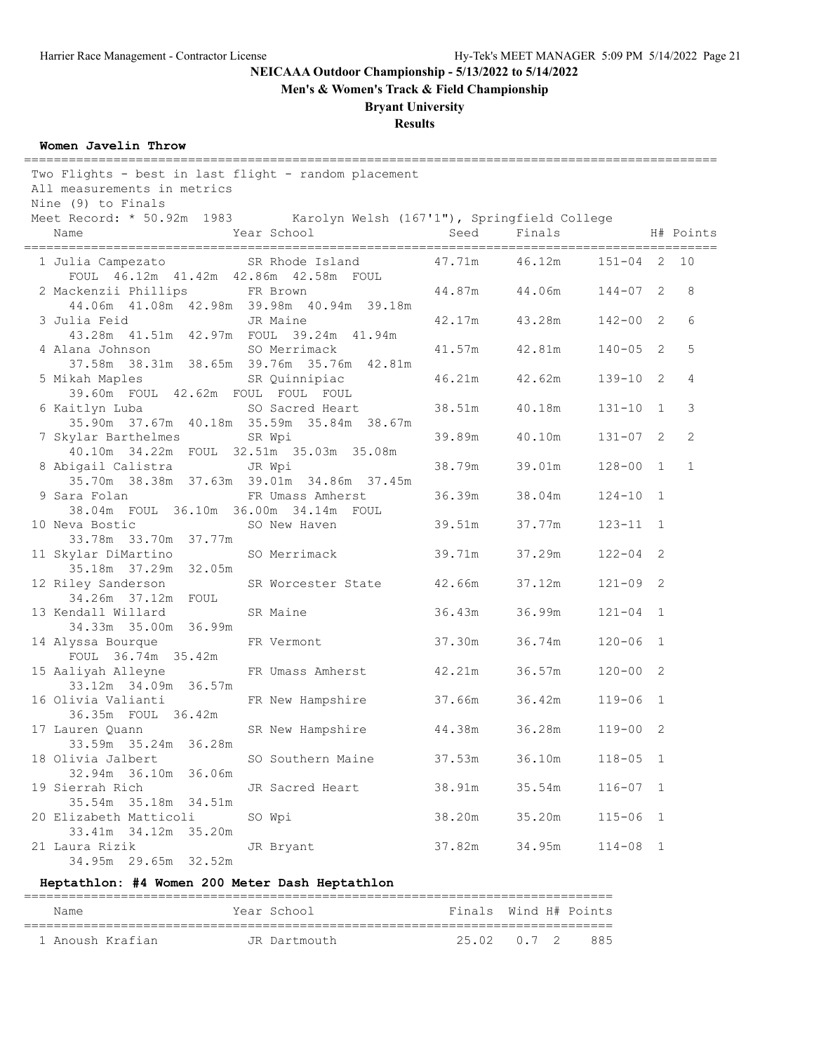**Men's & Women's Track & Field Championship**

## **Bryant University**

## **Results**

#### **Women Javelin Throw**

| Two Flights - best in last flight - random placement<br>All measurements in metrics<br>Nine (9) to Finals |        |                 |                 |                |
|-----------------------------------------------------------------------------------------------------------|--------|-----------------|-----------------|----------------|
| Meet Record: * 50.92m 1983 Karolyn Welsh (167'1"), Springfield College                                    |        |                 |                 |                |
| Year School<br>Name                                                                                       | Seed   | Finals          |                 | H# Points      |
| SR Rhode Island<br>1 Julia Campezato                                                                      |        | 47.71m   46.12m | $151 - 04$ 2 10 |                |
| FOUL 46.12m 41.42m 42.86m 42.58m FOUL                                                                     |        |                 |                 |                |
| 2 Mackenzii Phillips<br>FR Brown<br>44.06m  41.08m  42.98m  39.98m  40.94m  39.18m                        |        | 44.87m 44.06m   | $144 - 07$ 2    | 8              |
| 3 Julia Feid<br>JR Maine                                                                                  |        | 42.17m 43.28m   | $142 - 00$ 2    | 6              |
| 43.28m  41.51m  42.97m  FOUL  39.24m  41.94m                                                              |        |                 |                 |                |
| 4 Alana Johnson SO Merrimack                                                                              | 41.57m | 42.81m          | $140 - 05$ 2    | 5              |
| 37.58m 38.31m 38.65m 39.76m 35.76m 42.81m                                                                 |        |                 |                 |                |
| 5 Mikah Maples 68 SR Quinnipiac                                                                           | 46.21m | 42.62m          | $139 - 10$ 2    | $\overline{4}$ |
| 39.60m FOUL 42.62m FOUL FOUL FOUL                                                                         |        |                 |                 |                |
| 6 Kaitlyn Luba<br>SO Sacred Heart                                                                         |        | 38.51m 40.18m   | $131 - 10$ 1    | 3              |
| 35.90m 37.67m 40.18m 35.59m 35.84m 38.67m                                                                 |        |                 |                 |                |
| 7 Skylar Barthelmes<br>SR Wpi                                                                             | 39.89m | 40.10m          | $131 - 07$ 2    | $\overline{2}$ |
| 40.10m 34.22m FOUL 32.51m 35.03m 35.08m                                                                   |        |                 |                 |                |
| 8 Abigail Calistra<br>JR Wpi                                                                              | 38.79m | 39.01m          | $128 - 00$ 1    | $\mathbf{1}$   |
| 35.70m 38.38m 37.63m 39.01m 34.86m 37.45m                                                                 |        |                 |                 |                |
| 9 Sara Folan<br>FR Umass Amherst                                                                          | 36.39m | 38.04m          | $124 - 10$ 1    |                |
| 38.04m FOUL 36.10m 36.00m 34.14m FOUL                                                                     |        |                 |                 |                |
| 10 Neva Bostic Correct Communications<br>SO New Haven                                                     | 39.51m | 37.77m          | $123 - 11$ 1    |                |
| 33.78m 33.70m 37.77m                                                                                      |        |                 |                 |                |
| 11 Skylar DiMartino<br>SO Merrimack<br>35.18m 37.29m 32.05m                                               | 39.71m | 37.29m          | $122 - 04$ 2    |                |
| 12 Riley Sanderson<br>SR Worcester State                                                                  | 42.66m | 37.12m          | $121 - 09$ 2    |                |
| 34.26m 37.12m FOUL                                                                                        |        |                 |                 |                |
| 13 Kendall Willard<br>SR Maine                                                                            | 36.43m | 36.99m          | $121 - 04$ 1    |                |
| 34.33m 35.00m 36.99m                                                                                      |        |                 |                 |                |
| 14 Alyssa Bourque<br>FR Vermont                                                                           | 37.30m | 36.74m          | $120 - 06$ 1    |                |
| FOUL 36.74m 35.42m                                                                                        |        |                 |                 |                |
| 15 Aaliyah Alleyne<br>FR Umass Amherst                                                                    | 42.21m | 36.57m          | $120 - 00$ 2    |                |
| 33.12m 34.09m 36.57m                                                                                      |        |                 |                 |                |
| 16 Olivia Valianti<br>FR New Hampshire                                                                    | 37.66m | 36.42m          | $119 - 06$ 1    |                |
| 36.35m FOUL 36.42m                                                                                        |        |                 |                 |                |
| 17 Lauren Quann<br>SR New Hampshire                                                                       | 44.38m | 36.28m          | $119 - 00$ 2    |                |
| 33.59m 35.24m 36.28m                                                                                      |        |                 |                 |                |
| 18 Olivia Jalbert<br>SO Southern Maine                                                                    | 37.53m | 36.10m          | $118 - 05$ 1    |                |
| 32.94m 36.10m 36.06m                                                                                      |        |                 |                 |                |
| 19 Sierrah Rich<br>JR Sacred Heart                                                                        | 38.91m | 35.54m          | $116 - 07$ 1    |                |
| 35.54m 35.18m 34.51m                                                                                      |        |                 |                 |                |
| 20 Elizabeth Matticoli<br>SO Wpi                                                                          | 38.20m | 35.20m          | $115 - 06$ 1    |                |
| 33.41m 34.12m 35.20m                                                                                      |        |                 |                 |                |
| 21 Laura Rizik<br>JR Bryant<br>34.95m 29.65m 32.52m                                                       | 37.82m | 34.95m          | $114 - 08$ 1    |                |
|                                                                                                           |        |                 |                 |                |

#### **Heptathlon: #4 Women 200 Meter Dash Heptathlon**

| Name             | Year School  | Finals Wind H# Points |  |     |
|------------------|--------------|-----------------------|--|-----|
| 1 Anoush Krafian | JR Dartmouth | 25.02 0.7 2           |  | 885 |

===============================================================================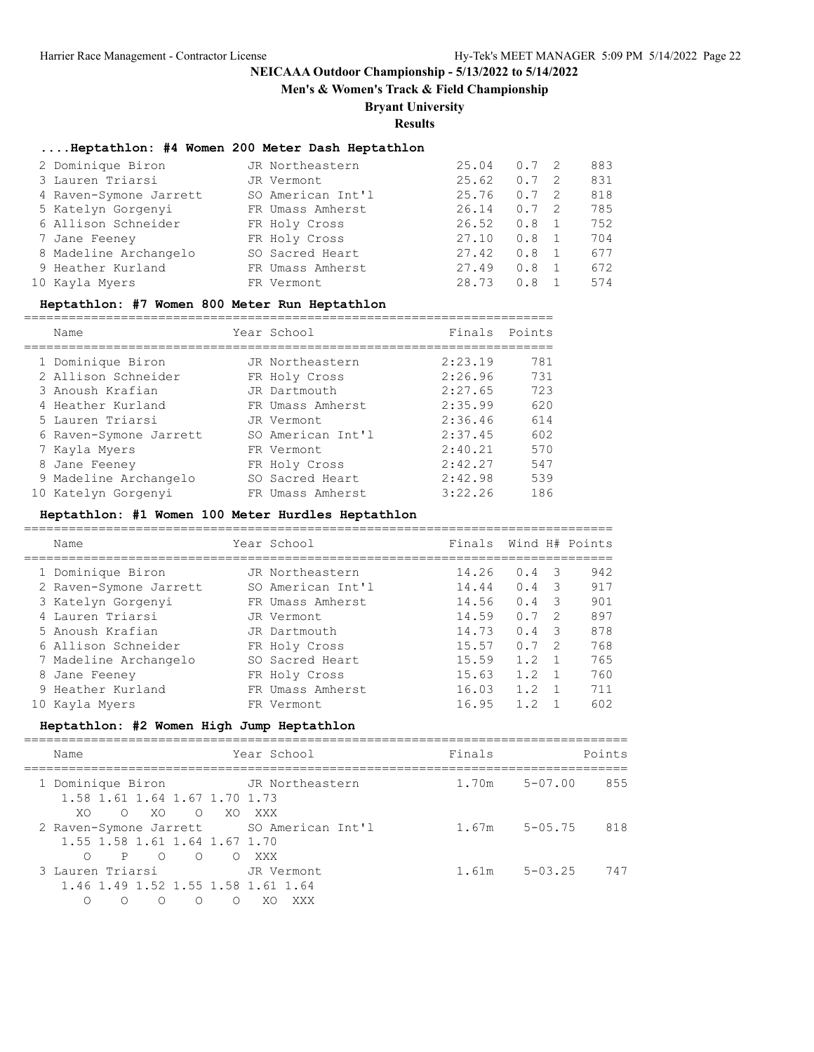**Men's & Women's Track & Field Championship**

## **Bryant University**

**Results**

### **....Heptathlon: #4 Women 200 Meter Dash Heptathlon**

| 2 Dominique Biron      | JR Northeastern   | 25.04 | $0.7 \quad 2$ |     | 883 |
|------------------------|-------------------|-------|---------------|-----|-----|
| 3 Lauren Triarsi       | JR Vermont        | 25.62 | 0.7           | - 2 | 831 |
| 4 Raven-Symone Jarrett | SO American Int'l | 25.76 | 0.7           | - 2 | 818 |
| 5 Katelyn Gorgenyi     | FR Umass Amherst  | 26.14 | 0.7           | - 2 | 785 |
| 6 Allison Schneider    | FR Holy Cross     | 26.52 | 0.8           |     | 752 |
| 7 Jane Feeney          | FR Holy Cross     | 27.10 | 0.8           |     | 704 |
| 8 Madeline Archangelo  | SO Sacred Heart   | 27.42 | 0.8           |     | 677 |
| 9 Heather Kurland      | FR Umass Amherst  | 27.49 | 0.8           |     | 672 |
| 10 Kayla Myers         | FR Vermont        | 28.73 | 0.8           |     | 574 |

#### **Heptathlon: #7 Women 800 Meter Run Heptathlon**

|  | Name                   | Year School       | Finals Points |     |
|--|------------------------|-------------------|---------------|-----|
|  | 1 Dominique Biron      | JR Northeastern   | 2:23.19       | 781 |
|  | 2 Allison Schneider    | FR Holy Cross     | 2:26.96       | 731 |
|  | 3 Anoush Krafian       | JR Dartmouth      | 2:27.65       | 723 |
|  | 4 Heather Kurland      | FR Umass Amherst  | 2:35.99       | 620 |
|  | 5 Lauren Triarsi       | JR Vermont        | 2:36.46       | 614 |
|  | 6 Raven-Symone Jarrett | SO American Int'l | 2:37.45       | 602 |
|  | 7 Kayla Myers          | FR Vermont        | 2:40.21       | 570 |
|  | 8 Jane Feeney          | FR Holy Cross     | 2:42.27       | 547 |
|  | 9 Madeline Archangelo  | SO Sacred Heart   | 2:42.98       | 539 |
|  | 10 Katelyn Gorgenyi    | FR Umass Amherst  | 3:22.26       | 186 |
|  |                        |                   |               |     |

#### **Heptathlon: #1 Women 100 Meter Hurdles Heptathlon**

| Name                   | Year School       | Finals |     |               | Wind H# Points |
|------------------------|-------------------|--------|-----|---------------|----------------|
|                        |                   |        |     |               |                |
| 1 Dominique Biron      | JR Northeastern   | 14.26  | 0.4 | $\mathcal{R}$ | 942            |
| 2 Raven-Symone Jarrett | SO American Int'l | 14.44  | 0.4 | -3            | 917            |
| 3 Katelyn Gorgenyi     | FR Umass Amherst  | 14.56  | 0.4 | 3             | 901            |
| 4 Lauren Triarsi       | JR Vermont        | 14.59  | 0.7 | -2            | 897            |
| 5 Anoush Krafian       | JR Dartmouth      | 14.73  | 0.4 | ्र            | 878            |
| 6 Allison Schneider    | FR Holy Cross     | 15.57  | 0.7 | $\mathcal{P}$ | 768            |
| 7 Madeline Archangelo  | SO Sacred Heart   | 15.59  | 1.2 |               | 765            |
| 8 Jane Feeney          | FR Holy Cross     | 15.63  | 1.2 |               | 760            |
| 9 Heather Kurland      | FR Umass Amherst  | 16.03  | 1.2 |               | 711            |
| Kayla Myers            | FR Vermont        | 16.95  | 1 2 |               | 602            |

#### **Heptathlon: #2 Women High Jump Heptathlon**

| Name                                                                                                                                          | Year School                   | Finals | Points                |
|-----------------------------------------------------------------------------------------------------------------------------------------------|-------------------------------|--------|-----------------------|
| 1 Dominique Biron<br>1.58 1.61 1.64 1.67 1.70 1.73<br>$\circ$ xo<br>XO.                                                                       | JR Northeastern<br>O XO XXX   | 1.70m  | $5 - 07.00$<br>855    |
| 2 Raven-Symone Jarrett SO American Int'l<br>1.55 1.58 1.61 1.64 1.67 1.70<br>$\overline{O}$<br>$\overline{O}$<br>$\bigcirc$<br>$\overline{P}$ | O XXX                         | 1.67m  | 818<br>$5 - 0.5$ . 75 |
| 3 Lauren Triarsi<br>1.46 1.49 1.52 1.55 1.58 1.61 1.64<br>∩<br>$\bigcirc$<br>∩                                                                | JR Vermont<br>XXX<br>∩<br>XO. | 1.61m  | $5 - 03.25$<br>747    |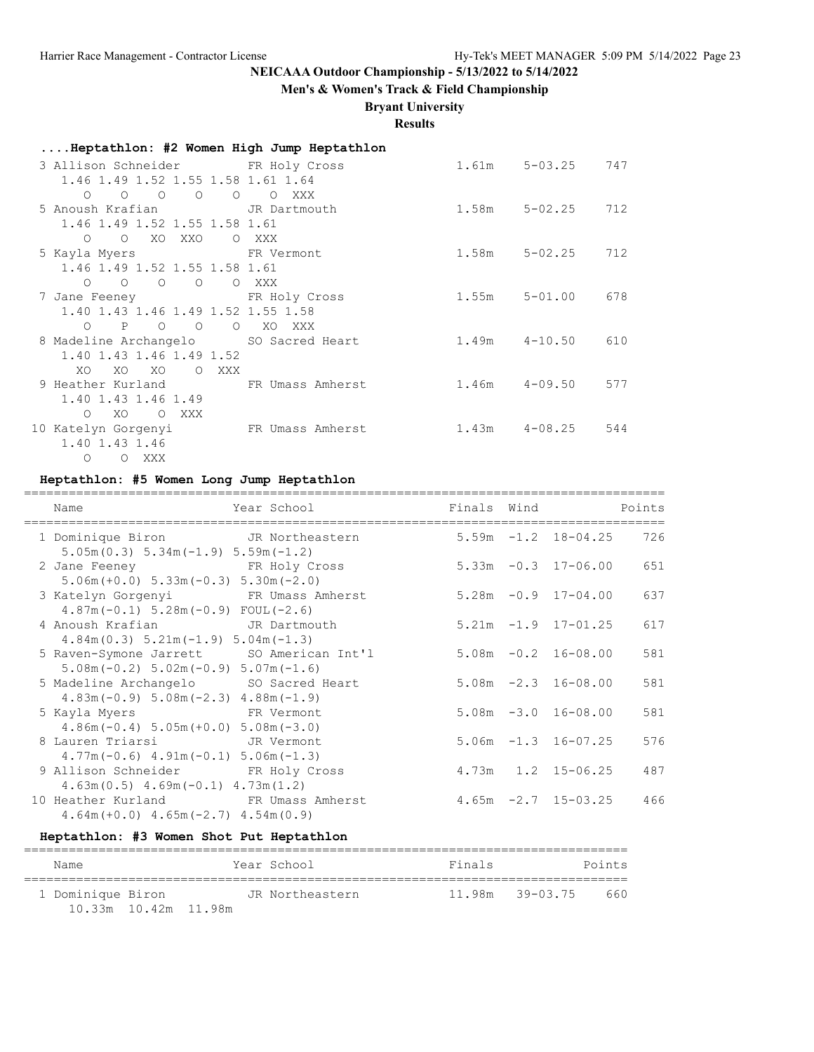## **Men's & Women's Track & Field Championship**

## **Bryant University**

**Results**

| Heptathlon: #2 Women High Jump Heptathlon                                         |        |       |                     |     |
|-----------------------------------------------------------------------------------|--------|-------|---------------------|-----|
| 3 Allison Schneider FR Holy Cross                                                 |        |       | 1.61m 5-03.25 747   |     |
| 1.46 1.49 1.52 1.55 1.58 1.61 1.64                                                |        |       |                     |     |
| $\begin{matrix} 0 & 0 \\ 0 & 0 \end{matrix}$<br>$\overline{O}$<br>$\circ$ $\circ$ | O XXX  |       |                     |     |
| 5 Anoush Krafian TR Dartmouth                                                     |        | 1.58m | $5 - 02.25$         | 712 |
| 1.46 1.49 1.52 1.55 1.58 1.61                                                     |        |       |                     |     |
| O XO XXO<br>$\Omega$                                                              | O XXX  |       |                     |     |
| 5 Kayla Myers 6 1977 FR Vermont                                                   |        | 1.58m | 5-02.25             | 712 |
| 1.46 1.49 1.52 1.55 1.58 1.61                                                     |        |       |                     |     |
| $\begin{matrix} 0 & 0 \\ 0 & 0 \end{matrix}$<br>$\circ$ $\circ$<br>O XXX          |        |       |                     |     |
| 7 Jane Feeney FR Holy Cross                                                       |        |       | 1.55m 5-01.00 678   |     |
| 1.40 1.43 1.46 1.49 1.52 1.55 1.58                                                |        |       |                     |     |
| $O$ $P$ $O$ $O$<br>$\overline{O}$                                                 | XO XXX |       |                     |     |
| 8 Madeline Archangelo SO Sacred Heart                                             |        |       | 1.49m  4-10.50  610 |     |
| 1.40 1.43 1.46 1.49 1.52                                                          |        |       |                     |     |
| XO<br>XO XO<br>O XXX<br>XO                                                        |        |       |                     |     |
| 9 Heather Kurland TR Umass Amherst                                                |        |       | $1.46m$ $4-09.50$   | 577 |
| 1.40 1.43 1.46 1.49                                                               |        |       |                     |     |
| XO<br>O XXX<br>$\circ$                                                            |        |       |                     |     |
| 10 Katelyn Gorgenyi KR Umass Amherst                                              |        |       | $1.43m$ $4-08.25$   | 544 |
| 1.40 1.43 1.46                                                                    |        |       |                     |     |
| $\circ$<br>O XXX                                                                  |        |       |                     |     |

## **Heptathlon: #5 Women Long Jump Heptathlon**

| Name                                                                                        | Year School                  | Finals Wind |                          | Points |
|---------------------------------------------------------------------------------------------|------------------------------|-------------|--------------------------|--------|
| 1 Dominique Biron<br>$5.05m(0.3)$ $5.34m(-1.9)$ $5.59m(-1.2)$                               | JR Northeastern              |             | $5.59m - 1.2$ $18-04.25$ | 726    |
| 2 Jane Feeney FR Holy Cross<br>$5.06m (+0.0) 5.33m (-0.3) 5.30m (-2.0)$                     |                              |             | $5.33m -0.3$ 17-06.00    | 651    |
| 3 Katelyn Gorgenyi KR Umass Amherst<br>$4.87m(-0.1)$ 5.28m $(-0.9)$ FOUL $(-2.6)$           |                              |             | $5.28m -0.9$ 17-04.00    | 637    |
| 4 Anoush Krafian Martmouth<br>$4.84m(0.3)$ $5.21m(-1.9)$ $5.04m(-1.3)$                      |                              |             | $5.21m -1.9$ 17-01.25    | 617    |
| 5 Raven-Symone Jarrett SO American Int'l<br>$5.08$ m (-0.2) $5.02$ m (-0.9) $5.07$ m (-1.6) |                              |             | $5.08m - 0.2$ 16-08.00   | 581    |
| 5 Madeline Archangelo SO Sacred Heart<br>$4.83m(-0.9)$ 5.08m $(-2.3)$ 4.88m $(-1.9)$        |                              |             | $5.08m - 2.3$ 16-08.00   | 581    |
| 5 Kayla Myers<br>$4.86m(-0.4)$ 5.05m $(+0.0)$ 5.08m $(-3.0)$                                | <b>Example 18 FR</b> Vermont |             | $5.08m - 3.0 16 - 08.00$ | 581    |
| 8 Lauren Triarsi<br>$4.77m(-0.6)$ $4.91m(-0.1)$ $5.06m(-1.3)$                               | JR Vermont                   |             | $5.06m - 1.3$ 16-07.25   | 576    |
| 9 Allison Schneider FR Holy Cross<br>$4.63m(0.5)$ $4.69m(-0.1)$ $4.73m(1.2)$                |                              |             | $4.73m$ $1.2$ $15-06.25$ | 487    |
| 10 Heather Kurland FR Umass Amherst<br>$4.64m (+0.0)$ $4.65m (-2.7)$ $4.54m (0.9)$          |                              |             | $4.65m -2.7$ 15-03.25    | 466    |

## **Heptathlon: #3 Women Shot Put Heptathlon**

| Name                       | Year School     | Finals |                     | Points |
|----------------------------|-----------------|--------|---------------------|--------|
| 1 Dominique Biron          | JR Northeastern |        | $11.98m$ $39-03.75$ | 660    |
| $10.33m$ $10.42m$ $11.98m$ |                 |        |                     |        |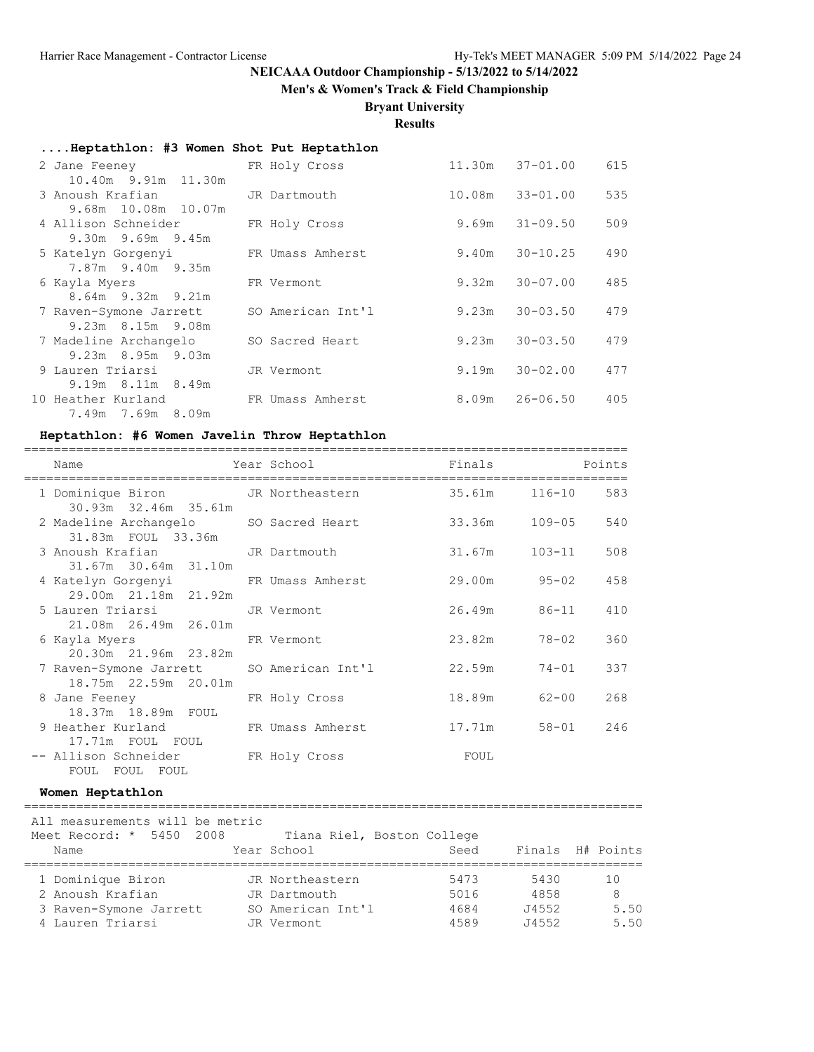**Men's & Women's Track & Field Championship**

## **Bryant University**

**Results**

| Heptathlon: #3 Women Shot Put Heptathlon           |                   |        |                     |     |
|----------------------------------------------------|-------------------|--------|---------------------|-----|
| 2 Jane Feeney FR Holy Cross<br>10.40m 9.91m 11.30m |                   |        | $11.30m$ $37-01.00$ | 615 |
| 3 Anoush Krafian<br>9.68m 10.08m 10.07m            | JR Dartmouth      | 10.08m | 33-01.00            | 535 |
| 4 Allison Schneider<br>9.30m 9.69m 9.45m           | FR Holy Cross     | 9.69m  | 31-09.50            | 509 |
| 5 Katelyn Gorgenyi<br>7.87m 9.40m 9.35m            | FR Umass Amherst  | 9.40m  | 30-10.25            | 490 |
| 6 Kayla Myers<br>$8.64m$ 9.32m 9.21m               | FR Vermont        | 9.32m  | $30 - 07.00$        | 485 |
| 7 Raven-Symone Jarrett<br>9.23m 8.15m 9.08m        | SO American Int'l | 9.23m  | $30 - 03.50$        | 479 |
| 7 Madeline Archangelo<br>9.23m 8.95m 9.03m         | SO Sacred Heart   | 9.23m  | $30 - 03.50$        | 479 |
| 9 Lauren Triarsi<br>9.19m 8.11m 8.49m              | JR Vermont        | 9.19m  | $30 - 02.00$        | 477 |
| 10 Heather Kurland<br>7.49m 7.69m 8.09m            | FR Umass Amherst  | 8.09m  | 26-06.50            | 405 |

#### **Heptathlon: #6 Women Javelin Throw Heptathlon**

| Name<br>--------------------------------                                       | Year School   | Finals        |           | Points |
|--------------------------------------------------------------------------------|---------------|---------------|-----------|--------|
| 1 Dominique Biron 116-10 JR Northeastern 35.61m 116-10<br>30.93m 32.46m 35.61m |               |               |           | 583    |
| 2 Madeline Archangelo SO Sacred Heart<br>31.83m FOUL 33.36m                    |               | 33.36m 109-05 |           | 540    |
| 3 Anoush Krafian JR Dartmouth<br>31.67m 30.64m 31.10m                          |               | 31.67m 103-11 |           | 508    |
| 4 Katelyn Gorgenyi KR Umass Amherst<br>29.00m 21.18m 21.92m                    |               | 29.00m 95-02  |           | 458    |
| 5 Lauren Triarsi<br>21.08m  26.49m  26.01m                                     | JR Vermont    | 26.49m 86-11  |           | 410    |
| 6 Kayla Myers<br>20.30m 21.96m 23.82m                                          | FR Vermont    | 23.82m        | 78-02     | 360    |
| 7 Raven-Symone Jarrett SO American Int'l<br>18.75m 22.59m 20.01m               |               | 22.59m        | $74 - 01$ | 337    |
| 8 Jane Feeney<br>18.37m 18.89m FOUL                                            | FR Holy Cross | 18.89m        | 62-00     | 268    |
| 9 Heather Kurland FR Umass Amherst                                             |               | 17.71m        | $58 - 01$ | 246    |
| 17.71m FOUL FOUL<br>-- Allison Schneider<br>FOUL FOUL FOUL                     | FR Holy Cross | FOUL          |           |        |

#### **Women Heptathlon**

# =================================================================================== All measurements will be metric

| Meet Record: * 5450 2008 |  | Tiana Riel, Boston College |      |       |                  |
|--------------------------|--|----------------------------|------|-------|------------------|
| Name                     |  | Year School                | Seed |       | Finals H# Points |
|                          |  |                            |      |       |                  |
| 1 Dominique Biron        |  | JR Northeastern            | 5473 | 5430  | 10               |
| 2 Anoush Krafian         |  | JR Dartmouth               | 5016 | 4858  | 8                |
| 3 Raven-Symone Jarrett   |  | SO American Int'l          | 4684 | J4552 | 5.50             |
| 4 Lauren Triarsi         |  | JR Vermont                 | 4589 | J4552 | 5.50             |